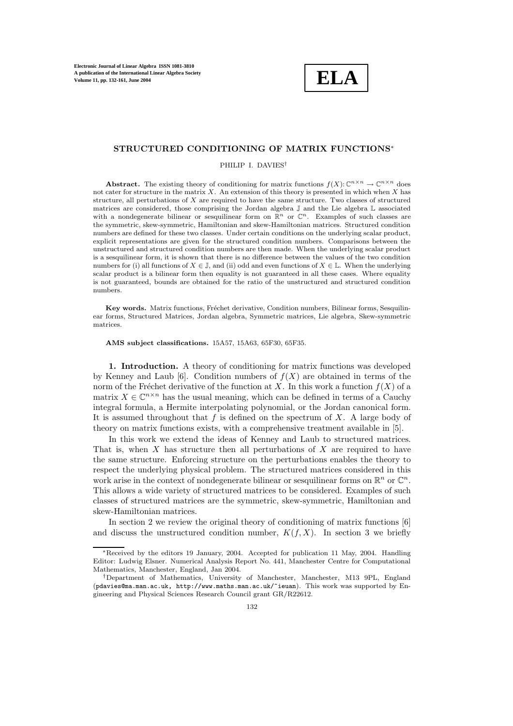

### **STRUCTURED CONDITIONING OF MATRIX FUNCTIONS**<sup>∗</sup>

PHILIP I. DAVIES†

**Abstract.** The existing theory of conditioning for matrix functions  $f(X): \mathbb{C}^{n \times n} \to \mathbb{C}^{n \times n}$  does not cater for structure in the matrix  $X$ . An extension of this theory is presented in which when  $X$  has structure, all perturbations of  $X$  are required to have the same structure. Two classes of structured matrices are considered, those comprising the Jordan algebra J and the Lie algebra L associated with a nondegenerate bilinear or sesquilinear form on  $\mathbb{R}^n$  or  $\mathbb{C}^n$ . Examples of such classes are the symmetric, skew-symmetric, Hamiltonian and skew-Hamiltonian matrices. Structured condition numbers are defined for these two classes. Under certain conditions on the underlying scalar product, explicit representations are given for the structured condition numbers. Comparisons between the unstructured and structured condition numbers are then made. When the underlying scalar product is a sesquilinear form, it is shown that there is no difference between the values of the two condition numbers for (i) all functions of  $X \in \mathbb{J}$ , and (ii) odd and even functions of  $X \in \mathbb{L}$ . When the underlying scalar product is a bilinear form then equality is not guaranteed in all these cases. Where equality is not guaranteed, bounds are obtained for the ratio of the unstructured and structured condition numbers.

**Key words.** Matrix functions, Fréchet derivative, Condition numbers, Bilinear forms, Sesquilinear forms, Structured Matrices, Jordan algebra, Symmetric matrices, Lie algebra, Skew-symmetric matrices.

**AMS subject classifications.** 15A57, 15A63, 65F30, 65F35.

**1. Introduction.** A theory of conditioning for matrix functions was developed by Kenney and Laub [6]. Condition numbers of  $f(X)$  are obtained in terms of the norm of the Fréchet derivative of the function at X. In this work a function  $f(X)$  of a matrix  $X \in \mathbb{C}^{n \times n}$  has the usual meaning, which can be defined in terms of a Cauchy integral formula, a Hermite interpolating polynomial, or the Jordan canonical form. It is assumed throughout that  $f$  is defined on the spectrum of  $X$ . A large body of theory on matrix functions exists, with a comprehensive treatment available in [5].

In this work we extend the ideas of Kenney and Laub to structured matrices. That is, when  $X$  has structure then all perturbations of  $X$  are required to have the same structure. Enforcing structure on the perturbations enables the theory to respect the underlying physical problem. The structured matrices considered in this work arise in the context of nondegenerate bilinear or sesquilinear forms on  $\mathbb{R}^n$  or  $\mathbb{C}^n$ . This allows a wide variety of structured matrices to be considered. Examples of such classes of structured matrices are the symmetric, skew-symmetric, Hamiltonian and skew-Hamiltonian matrices.

In section 2 we review the original theory of conditioning of matrix functions [6] and discuss the unstructured condition number,  $K(f, X)$ . In section 3 we briefly

<sup>∗</sup>Received by the editors 19 January, 2004. Accepted for publication 11 May, 2004. Handling Editor: Ludwig Elsner. Numerical Analysis Report No. 441, Manchester Centre for Computational Mathematics, Manchester, England, Jan 2004.

<sup>†</sup>Department of Mathematics, University of Manchester, Manchester, M13 9PL, England (pdavies@ma.man.ac.uk, http://www.maths.man.ac.uk/~ieuan). This work was supported by Engineering and Physical Sciences Research Council grant GR/R22612.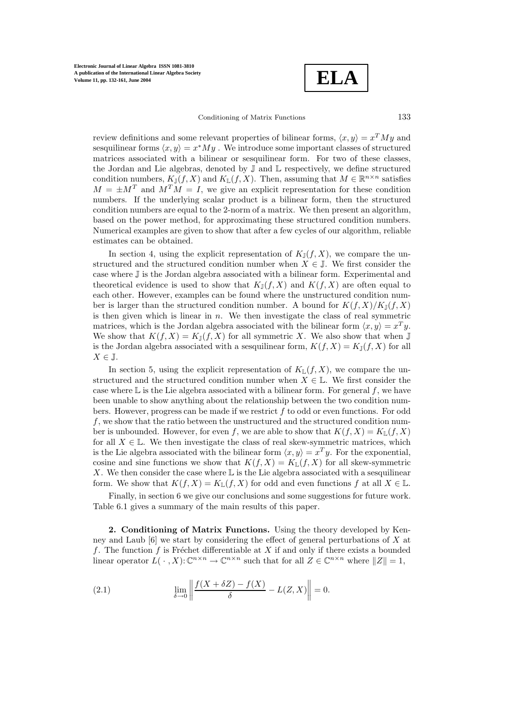**ELA**

Conditioning of Matrix Functions 133

review definitions and some relevant properties of bilinear forms,  $\langle x, y \rangle = x^T M y$  and sesquilinear forms  $\langle x, y \rangle = x^*My$ . We introduce some important classes of structured matrices associated with a bilinear or sesquilinear form. For two of these classes, the Jordan and Lie algebras, denoted by J and L respectively, we define structured condition numbers,  $K_{\mathbb{J}}(f,X)$  and  $K_{\mathbb{L}}(f,X)$ . Then, assuming that  $M \in \mathbb{R}^{n \times n}$  satisfies  $M = \pm M^{T}$  and  $M^{T}M = I$ , we give an explicit representation for these condition numbers. If the underlying scalar product is a bilinear form, then the structured condition numbers are equal to the 2-norm of a matrix. We then present an algorithm, based on the power method, for approximating these structured condition numbers. Numerical examples are given to show that after a few cycles of our algorithm, reliable estimates can be obtained.

In section 4, using the explicit representation of  $K_{\mathbb{J}}(f, X)$ , we compare the unstructured and the structured condition number when  $X \in \mathbb{J}$ . We first consider the case where J is the Jordan algebra associated with a bilinear form. Experimental and theoretical evidence is used to show that  $K_{\mathbb{J}}(f,X)$  and  $K(f,X)$  are often equal to each other. However, examples can be found where the unstructured condition number is larger than the structured condition number. A bound for  $K(f, X)/K_{\mathbb{J}}(f, X)$ is then given which is linear in  $n$ . We then investigate the class of real symmetric matrices, which is the Jordan algebra associated with the bilinear form  $\langle x, y \rangle = x^T y$ . We show that  $K(f, X) = K_{\mathbb{J}}(f, X)$  for all symmetric X. We also show that when  $\mathbb{J}$ is the Jordan algebra associated with a sesquilinear form,  $K(f, X) = K_{\mathbb{J}}(f, X)$  for all  $X \in \mathbb{J}$ .

In section 5, using the explicit representation of  $K_{\mathbb{L}}(f, X)$ , we compare the unstructured and the structured condition number when  $X \in \mathbb{L}$ . We first consider the case where  $\mathbb L$  is the Lie algebra associated with a bilinear form. For general  $f$ , we have been unable to show anything about the relationship between the two condition numbers. However, progress can be made if we restrict f to odd or even functions. For odd f, we show that the ratio between the unstructured and the structured condition number is unbounded. However, for even f, we are able to show that  $K(f, X) = K_{\mathbb{L}}(f, X)$ for all  $X \in \mathbb{L}$ . We then investigate the class of real skew-symmetric matrices, which is the Lie algebra associated with the bilinear form  $\langle x, y \rangle = x^T y$ . For the exponential, cosine and sine functions we show that  $K(f, X) = K_{\mathbb{L}}(f, X)$  for all skew-symmetric X. We then consider the case where  $\mathbb L$  is the Lie algebra associated with a sesquilinear form. We show that  $K(f, X) = K_{\mathbb{L}}(f, X)$  for odd and even functions f at all  $X \in \mathbb{L}$ .

Finally, in section 6 we give our conclusions and some suggestions for future work. Table 6.1 gives a summary of the main results of this paper.

**2. Conditioning of Matrix Functions.** Using the theory developed by Kenney and Laub  $[6]$  we start by considering the effect of general perturbations of X at f. The function f is Fréchet differentiable at  $X$  if and only if there exists a bounded linear operator  $L(\cdot, X): \mathbb{C}^{n \times n} \to \mathbb{C}^{n \times n}$  such that for all  $Z \in \mathbb{C}^{n \times n}$  where  $||Z|| = 1$ ,

(2.1) 
$$
\lim_{\delta \to 0} \left\| \frac{f(X + \delta Z) - f(X)}{\delta} - L(Z, X) \right\| = 0.
$$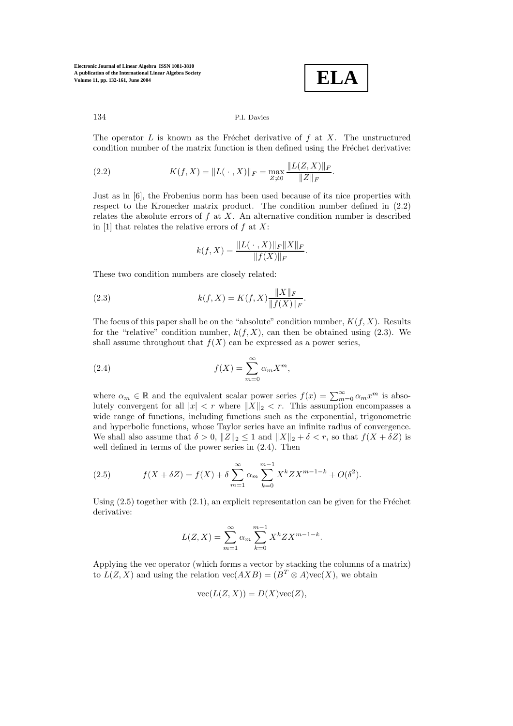$$
\boxed{\textbf{ELA}}
$$

The operator  $L$  is known as the Fréchet derivative of  $f$  at  $X$ . The unstructured condition number of the matrix function is then defined using the Fréchet derivative:

(2.2) 
$$
K(f, X) = ||L(\cdot, X)||_F = \max_{Z \neq 0} \frac{||L(Z, X)||_F}{||Z||_F}.
$$

Just as in [6], the Frobenius norm has been used because of its nice properties with respect to the Kronecker matrix product. The condition number defined in (2.2) relates the absolute errors of  $f$  at  $X$ . An alternative condition number is described in [1] that relates the relative errors of  $f$  at  $X$ :

$$
k(f, X) = \frac{\|L(\cdot, X)\|_F \|X\|_F}{\|f(X)\|_F}.
$$

These two condition numbers are closely related:

(2.3) 
$$
k(f, X) = K(f, X) \frac{\|X\|_F}{\|f(X)\|_F}.
$$

The focus of this paper shall be on the "absolute" condition number,  $K(f, X)$ . Results for the "relative" condition number,  $k(f, X)$ , can then be obtained using (2.3). We shall assume throughout that  $f(X)$  can be expressed as a power series,

(2.4) 
$$
f(X) = \sum_{m=0}^{\infty} \alpha_m X^m,
$$

where  $\alpha_m \in \mathbb{R}$  and the equivalent scalar power series  $f(x) = \sum_{m=0}^{\infty} \alpha_m x^m$  is absolutely convergent for all  $|x| < r$  where  $||X||_2 < r$ . This assumption encompasses a wide range of functions, including functions such as the exponential, trigonometric and hyperbolic functions, whose Taylor series have an infinite radius of convergence. We shall also assume that  $\delta > 0$ ,  $||Z||_2 \le 1$  and  $||X||_2 + \delta < r$ , so that  $f(X + \delta Z)$  is well defined in terms of the power series in (2.4). Then

(2.5) 
$$
f(X + \delta Z) = f(X) + \delta \sum_{m=1}^{\infty} \alpha_m \sum_{k=0}^{m-1} X^k Z X^{m-1-k} + O(\delta^2).
$$

Using  $(2.5)$  together with  $(2.1)$ , an explicit representation can be given for the Fréchet derivative:

$$
L(Z, X) = \sum_{m=1}^{\infty} \alpha_m \sum_{k=0}^{m-1} X^k Z X^{m-1-k}.
$$

Applying the vec operator (which forms a vector by stacking the columns of a matrix) to  $L(Z, X)$  and using the relation  $\text{vec}(AXB) = (B^T \otimes A)\text{vec}(X)$ , we obtain

$$
\text{vec}(L(Z, X)) = D(X)\text{vec}(Z),
$$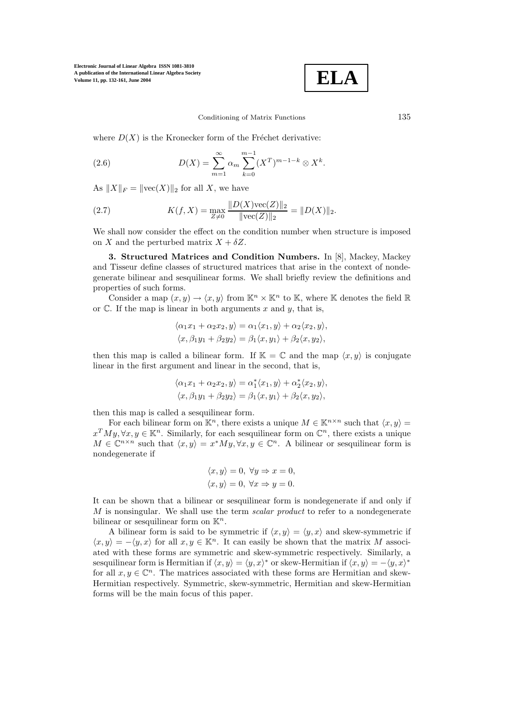

#### Conditioning of Matrix Functions 135

where  $D(X)$  is the Kronecker form of the Fréchet derivative:

(2.6) 
$$
D(X) = \sum_{m=1}^{\infty} \alpha_m \sum_{k=0}^{m-1} (X^T)^{m-1-k} \otimes X^k.
$$

As  $||X||_F = ||\text{vec}(X)||_2$  for all X, we have

(2.7) 
$$
K(f, X) = \max_{Z \neq 0} \frac{\|D(X)\text{vec}(Z)\|_2}{\|\text{vec}(Z)\|_2} = \|D(X)\|_2.
$$

We shall now consider the effect on the condition number when structure is imposed on X and the perturbed matrix  $X + \delta Z$ .

**3. Structured Matrices and Condition Numbers.** In [8], Mackey, Mackey and Tisseur define classes of structured matrices that arise in the context of nondegenerate bilinear and sesquilinear forms. We shall briefly review the definitions and properties of such forms.

Consider a map  $(x, y) \rightarrow \langle x, y \rangle$  from  $\mathbb{K}^n \times \mathbb{K}^n$  to  $\mathbb{K}$ , where  $\mathbb{K}$  denotes the field  $\mathbb{R}$ or  $\mathbb C$ . If the map is linear in both arguments x and y, that is,

$$
\langle \alpha_1 x_1 + \alpha_2 x_2, y \rangle = \alpha_1 \langle x_1, y \rangle + \alpha_2 \langle x_2, y \rangle,
$$
  

$$
\langle x, \beta_1 y_1 + \beta_2 y_2 \rangle = \beta_1 \langle x, y_1 \rangle + \beta_2 \langle x, y_2 \rangle,
$$

then this map is called a bilinear form. If  $\mathbb{K} = \mathbb{C}$  and the map  $\langle x, y \rangle$  is conjugate linear in the first argument and linear in the second, that is,

$$
\langle \alpha_1 x_1 + \alpha_2 x_2, y \rangle = \alpha_1^* \langle x_1, y \rangle + \alpha_2^* \langle x_2, y \rangle,
$$
  

$$
\langle x, \beta_1 y_1 + \beta_2 y_2 \rangle = \beta_1 \langle x, y_1 \rangle + \beta_2 \langle x, y_2 \rangle,
$$

then this map is called a sesquilinear form.

For each bilinear form on  $\mathbb{K}^n$ , there exists a unique  $M \in \mathbb{K}^{n \times n}$  such that  $\langle x, y \rangle =$  $x^T My, \forall x, y \in \mathbb{K}^n$ . Similarly, for each sesquilinear form on  $\mathbb{C}^n$ , there exists a unique  $M \in \mathbb{C}^{n \times n}$  such that  $\langle x, y \rangle = x^*My, \forall x, y \in \mathbb{C}^n$ . A bilinear or sesquilinear form is nondegenerate if

$$
\langle x, y \rangle = 0, \ \forall y \Rightarrow x = 0, \langle x, y \rangle = 0, \ \forall x \Rightarrow y = 0.
$$

It can be shown that a bilinear or sesquilinear form is nondegenerate if and only if  $M$  is nonsingular. We shall use the term scalar product to refer to a nondegenerate bilinear or sesquilinear form on  $\mathbb{K}^n$ .

A bilinear form is said to be symmetric if  $\langle x, y \rangle = \langle y, x \rangle$  and skew-symmetric if  $\langle x, y \rangle = -\langle y, x \rangle$  for all  $x, y \in \mathbb{K}^n$ . It can easily be shown that the matrix M associated with these forms are symmetric and skew-symmetric respectively. Similarly, a sesquilinear form is Hermitian if  $\langle x, y \rangle = \langle y, x \rangle^*$  or skew-Hermitian if  $\langle x, y \rangle = -\langle y, x \rangle^*$ for all  $x, y \in \mathbb{C}^n$ . The matrices associated with these forms are Hermitian and skew-Hermitian respectively. Symmetric, skew-symmetric, Hermitian and skew-Hermitian forms will be the main focus of this paper.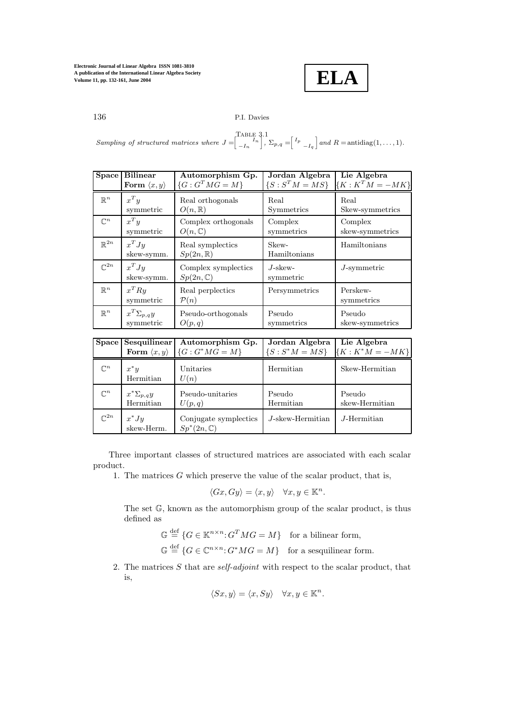

Sampling of structured matrices where  $J = \begin{bmatrix} 1 & I_n \\ -I_n & I_n \end{bmatrix}$ ,  $\begin{bmatrix}I_n\\-I_n\end{bmatrix}$ ,  $\Sigma_{p,q}=\begin{bmatrix}I_p\\-I_q\end{bmatrix}$  $\big]$  and  $R =$  antidiag(1,..., 1).

| Space             | <b>Bilinear</b>             | Automorphism Gp.                           | Jordan Algebra          | Lie Algebra            |
|-------------------|-----------------------------|--------------------------------------------|-------------------------|------------------------|
|                   | Form $\langle x, y \rangle$ | $\{G: G^T M G = M\}$                       | $\{S: S^T M = MS\}$     | ${K: K^T M = -MK}$     |
| $\mathbb{R}^n$    | $x^T y$                     | Real orthogonals                           | Real                    | Real                   |
|                   | symmetric                   | $O(n,\mathbb{R})$                          | Symmetrics              | Skew-symmetrics        |
| $\mathbb{C}^n$    | $x^T y$                     | Complex orthogonals                        | Complex                 | Complex                |
|                   | symmetric                   | $O(n,\mathbb{C})$                          | symmetrics              | skew-symmetrics        |
| $\mathbb{R}^{2n}$ | $x^T J y$<br>skew-symm.     | Real symplectics<br>$Sp(2n,\mathbb{R})$    | Skew-<br>Hamiltonians   | Hamiltonians           |
| $\mathbb{C}^{2n}$ | $x^T J y$<br>skew-symm.     | Complex symplectics<br>$Sp(2n,\mathbb{C})$ | $J$ -skew-<br>symmetric | $J$ -symmetric         |
| $\mathbb{R}^n$    | $x^TRy$<br>symmetric        | Real perplectics<br>$\mathcal{P}(n)$       | Persymmetrics           | Perskew-<br>symmetrics |
| $\mathbb{R}^n$    | $x^T \Sigma_{p,q} y$        | Pseudo-orthogonals                         | Pseudo                  | Pseudo                 |
|                   | symmetric                   | O(p,q)                                     | symmetrics              | skew-symmetrics        |

|                   | Space Sesquilinear          | Automorphism Gp.                               | Jordan Algebra      | Lie Algebra       |
|-------------------|-----------------------------|------------------------------------------------|---------------------|-------------------|
|                   | Form $\langle x, y \rangle$ | ${G: G^*MG = M}$                               | ${S : S^*M = MS}$   | ${K: K^*M = -MK}$ |
| $\mathbb{C}^n$    | $x^*y$<br>Hermitian         | Unitaries<br>U(n)                              | Hermitian           | Skew-Hermitian    |
| $\mathbb{C}^n$    | $x^*\Sigma_{p,q}y$          | Pseudo-unitaries                               | Pseudo              | Pseudo            |
|                   | Hermitian                   | U(p,q)                                         | Hermitian           | skew-Hermitian    |
| $\mathbb{C}^{2n}$ | $x^*Jy$<br>skew-Herm.       | Conjugate symplectics<br>$Sp^*(2n,\mathbb{C})$ | $J$ -skew-Hermitian | $J$ -Hermitian    |

Three important classes of structured matrices are associated with each scalar product.

1. The matrices  $G$  which preserve the value of the scalar product, that is,

$$
\langle Gx, Gy \rangle = \langle x, y \rangle \quad \forall x, y \in \mathbb{K}^n.
$$

The set G, known as the automorphism group of the scalar product, is thus defined as

$$
\mathbb{G} \stackrel{\text{def}}{=} \{ G \in \mathbb{K}^{n \times n} : G^T M G = M \} \text{ for a bilinear form,}
$$
  

$$
\mathbb{G} \stackrel{\text{def}}{=} \{ G \in \mathbb{C}^{n \times n} : G^* M G = M \} \text{ for a sesquilinear form.}
$$

2. The matrices  $S$  that are *self-adjoint* with respect to the scalar product, that is,

$$
\langle Sx, y \rangle = \langle x, Sy \rangle \quad \forall x, y \in \mathbb{K}^n.
$$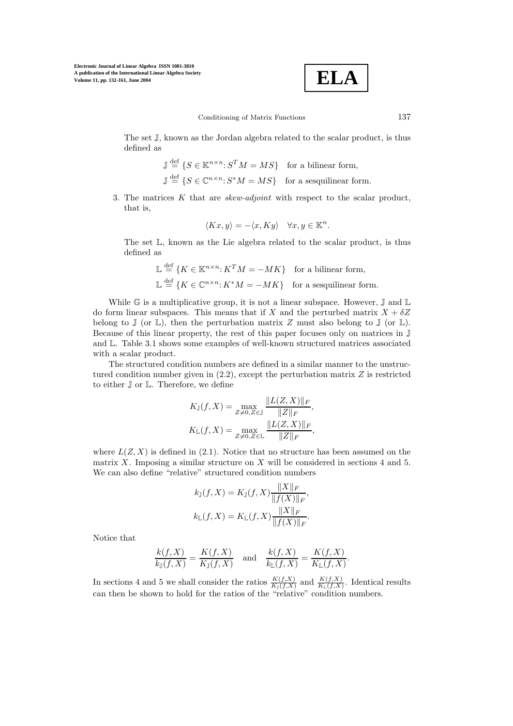$$
\boxed{\text{ELA}}
$$

The set J, known as the Jordan algebra related to the scalar product, is thus defined as

$$
\mathbb{J} \stackrel{\text{def}}{=} \{ S \in \mathbb{K}^{n \times n} : S^T M = MS \} \text{ for a bilinear form,}
$$
  

$$
\mathbb{J} \stackrel{\text{def}}{=} \{ S \in \mathbb{C}^{n \times n} : S^* M = MS \} \text{ for a sesquilinear form.}
$$

3. The matrices  $K$  that are *skew-adjoint* with respect to the scalar product, that is,

$$
\langle Kx, y \rangle = -\langle x, Ky \rangle \quad \forall x, y \in \mathbb{K}^n.
$$

The set L, known as the Lie algebra related to the scalar product, is thus defined as

$$
\mathbb{L} \stackrel{\text{def}}{=} \{ K \in \mathbb{K}^{n \times n} : K^T M = -MK \} \text{ for a bilinear form,}
$$
  

$$
\mathbb{L} \stackrel{\text{def}}{=} \{ K \in \mathbb{C}^{n \times n} : K^* M = -MK \} \text{ for a sesquilinear form.}
$$

While  $\mathbb G$  is a multiplicative group, it is not a linear subspace. However,  $\mathbb J$  and  $\mathbb L$ do form linear subspaces. This means that if X and the perturbed matrix  $X + \delta Z$ belong to  $\mathbb J$  (or  $\mathbb L$ ), then the perturbation matrix Z must also belong to  $\mathbb J$  (or  $\mathbb L$ ). Because of this linear property, the rest of this paper focuses only on matrices in J and L. Table 3.1 shows some examples of well-known structured matrices associated with a scalar product.

The structured condition numbers are defined in a similar manner to the unstructured condition number given in  $(2.2)$ , except the perturbation matrix  $Z$  is restricted to either J or L. Therefore, we define

$$
K_{\mathbb{J}}(f, X) = \max_{Z \neq 0, Z \in \mathbb{J}} \frac{\|L(Z, X)\|_F}{\|Z\|_F},
$$
  

$$
K_{\mathbb{L}}(f, X) = \max_{Z \neq 0, Z \in \mathbb{L}} \frac{\|L(Z, X)\|_F}{\|Z\|_F},
$$

where  $L(Z, X)$  is defined in (2.1). Notice that no structure has been assumed on the matrix  $X$ . Imposing a similar structure on  $X$  will be considered in sections 4 and 5. We can also define "relative" structured condition numbers

$$
k_{\mathbb{J}}(f, X) = K_{\mathbb{J}}(f, X) \frac{\|X\|_F}{\|f(X)\|_F},
$$
  

$$
k_{\mathbb{L}}(f, X) = K_{\mathbb{L}}(f, X) \frac{\|X\|_F}{\|f(X)\|_F}.
$$

Notice that

$$
\frac{k(f,X)}{k\mathbb{I}(f,X)} = \frac{K(f,X)}{K\mathbb{I}(f,X)} \quad \text{and} \quad \frac{k(f,X)}{k\mathbb{I}(f,X)} = \frac{K(f,X)}{K\mathbb{I}(f,X)}
$$

.

In sections 4 and 5 we shall consider the ratios  $\frac{K(f,X)}{K_1(f,X)}$  and  $\frac{K(f,X)}{K_1(f,X)}$ . Identical results can then be shown to hold for the ratios of the "relative" condition numbers.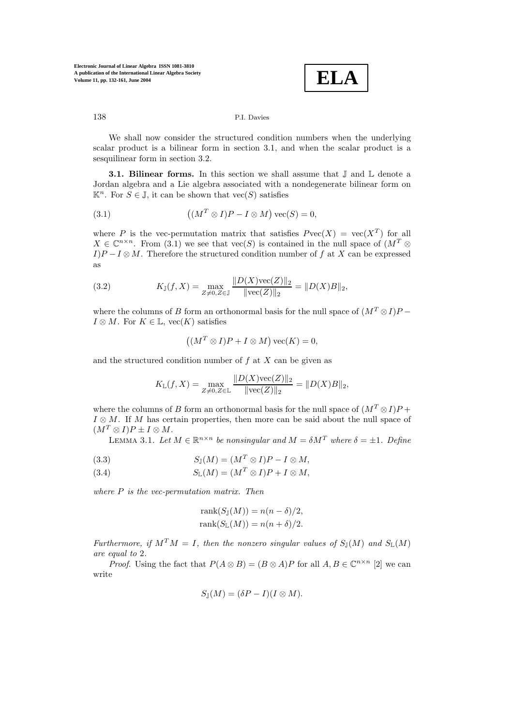

We shall now consider the structured condition numbers when the underlying scalar product is a bilinear form in section 3.1, and when the scalar product is a sesquilinear form in section 3.2.

**3.1. Bilinear forms.** In this section we shall assume that  $\mathbb{J}$  and  $\mathbb{L}$  denote a Jordan algebra and a Lie algebra associated with a nondegenerate bilinear form on  $\mathbb{K}^n$ . For  $S \in \mathbb{J}$ , it can be shown that vec $(S)$  satisfies

(3.1) 
$$
((M^T \otimes I)P - I \otimes M) \operatorname{vec}(S) = 0,
$$

where P is the vec-permutation matrix that satisfies  $P\text{vec}(X) = \text{vec}(X^T)$  for all  $X \in \mathbb{C}^{n \times n}$ . From (3.1) we see that  $\text{vec}(S)$  is contained in the null space of  $(M^T \otimes$  $I$ )P –  $I \otimes M$ . Therefore the structured condition number of f at X can be expressed as

(3.2) 
$$
K_{\mathbb{J}}(f, X) = \max_{Z \neq 0, Z \in \mathbb{J}} \frac{\|D(X)\text{vec}(Z)\|_2}{\|\text{vec}(Z)\|_2} = \|D(X)B\|_2,
$$

where the columns of B form an orthonormal basis for the null space of  $(M^T \otimes I)P$  –  $I \otimes M$ . For  $K \in \mathbb{L}$ , vec $(K)$  satisfies

$$
((M^T \otimes I)P + I \otimes M) \text{ vec}(K) = 0,
$$

and the structured condition number of  $f$  at  $X$  can be given as

$$
K_{\mathbb{L}}(f, X) = \max_{Z \neq 0, Z \in \mathbb{L}} \frac{\|D(X)\text{vec}(Z)\|_2}{\|\text{vec}(Z)\|_2} = \|D(X)B\|_2,
$$

where the columns of B form an orthonormal basis for the null space of  $(M^T \otimes I)P$  +  $I \otimes M$ . If M has certain properties, then more can be said about the null space of  $(M^T \otimes I)P \pm I \otimes M$ .

LEMMA 3.1. Let  $M \in \mathbb{R}^{n \times n}$  be nonsingular and  $M = \delta M^T$  where  $\delta = \pm 1$ . Define

(3.3) 
$$
S_{\mathbb{J}}(M) = (M^T \otimes I)P - I \otimes M
$$

(3.4) 
$$
S_{\mathbb{L}}(M) = (M^T \otimes I)P + I \otimes M,
$$

where  $P$  is the vec-permutation matrix. Then

$$
rank(S_{\mathbb{J}}(M)) = n(n - \delta)/2,
$$
  

$$
rank(S_{\mathbb{L}}(M)) = n(n + \delta)/2.
$$

Furthermore, if  $M^T M = I$ , then the nonzero singular values of  $S_{\mathbb{I}}(M)$  and  $S_{\mathbb{I}}(M)$ are equal to 2.

*Proof.* Using the fact that  $P(A \otimes B) = (B \otimes A)P$  for all  $A, B \in \mathbb{C}^{n \times n}$  [2] we can write

$$
S_{\mathbb{J}}(M) = (\delta P - I)(I \otimes M).
$$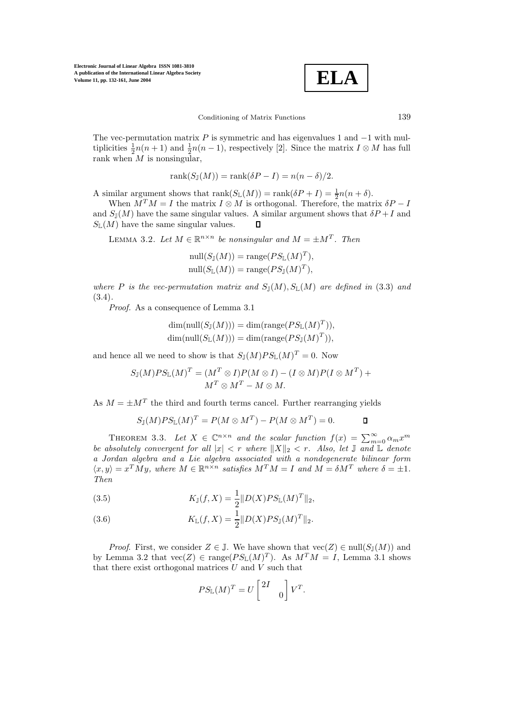$$
\boxed{\textbf{ELA}}
$$

The vec-permutation matrix  $P$  is symmetric and has eigenvalues 1 and  $-1$  with multiplicities  $\frac{1}{2}n(n+1)$  and  $\frac{1}{2}n(n-1)$ , respectively [2]. Since the matrix  $I \otimes M$  has full rank when  $M$  is nonsingular,

$$
rank(S_{\mathbb{J}}(M)) = rank(\delta P - I) = n(n - \delta)/2.
$$

A similar argument shows that  $\text{rank}(S_{\mathbb{L}}(M)) = \text{rank}(\delta P + I) = \frac{1}{2}n(n + \delta).$ 

When  $M^T M = I$  the matrix  $I \otimes M$  is orthogonal. Therefore, the matrix  $\delta P - I$ and  $S_{\mathbb{J}}(M)$  have the same singular values. A similar argument shows that  $\delta P + I$  and  $S_{\mathbb{L}}(M)$  have the same singular values.  $\mathsf{\Pi}$ 

LEMMA 3.2. Let  $M \in \mathbb{R}^{n \times n}$  be nonsingular and  $M = \pm M^{T}$ . Then

$$
\text{null}(S_{\mathbb{J}}(M)) = \text{range}(PS_{\mathbb{L}}(M)^{T}),
$$
  

$$
\text{null}(S_{\mathbb{L}}(M)) = \text{range}(PS_{\mathbb{J}}(M)^{T}),
$$

where P is the vec-permutation matrix and  $S_{\mathbb{J}}(M), S_{\mathbb{L}}(M)$  are defined in (3.3) and (3.4).

Proof. As a consequence of Lemma 3.1

$$
\dim(\text{null}(S_{\mathbb{J}}(M))) = \dim(\text{range}(PS_{\mathbb{L}}(M)^{T})),
$$
  

$$
\dim(\text{null}(S_{\mathbb{L}}(M))) = \dim(\text{range}(PS_{\mathbb{J}}(M)^{T})),
$$

and hence all we need to show is that  $S_{\mathbb{J}}(M)PS_{\mathbb{L}}(M)^{T}=0$ . Now

$$
S_{\mathbb{J}}(M)PS_{\mathbb{L}}(M)^{T} = (M^{T} \otimes I)P(M \otimes I) - (I \otimes M)P(I \otimes M^{T}) + M^{T} \otimes M^{T} - M \otimes M.
$$

As  $M = \pm M^T$  the third and fourth terms cancel. Further rearranging yields

$$
S_{\mathbb{J}}(M)PS_{\mathbb{L}}(M)^{T} = P(M \otimes M^{T}) - P(M \otimes M^{T}) = 0.
$$

THEOREM 3.3. Let  $X \in \mathbb{C}^{n \times n}$  and the scalar function  $f(x) = \sum_{m=0}^{\infty} \alpha_m x^m$ <br>beginted to convergent for all  $|x| < r$  where  $||X||_2 < r$  also let  $\mathbb{E}$  and  $\mathbb{E}$  denote be absolutely convergent for all  $|x| < r$  where  $||X||_2 < r$ . Also, let  $\mathbb{J}$  and  $\mathbb{L}$  denote a Jordan algebra and a Lie algebra associated with a nondegenerate bilinear form  $\langle x, y \rangle = x^T M y$ , where  $M \in \mathbb{R}^{n \times n}$  satisfies  $M^T M = I$  and  $M = \delta M^T$  where  $\delta = \pm 1$ . Then

(3.5) 
$$
K_{\mathbb{J}}(f, X) = \frac{1}{2} ||D(X)PS_{\mathbb{L}}(M)^{T}||_2,
$$

(3.6) 
$$
K_{\mathbb{L}}(f, X) = \frac{1}{2} ||D(X)PS_{\mathbb{J}}(M)^{T}||_2.
$$

*Proof.* First, we consider  $Z \in \mathbb{J}$ . We have shown that  $\text{vec}(Z) \in \text{null}(S_{\mathbb{J}}(M))$  and by Lemma 3.2 that  $\text{vec}(Z) \in \text{range}(PS_{\mathbb{L}}(M)^{T})$ . As  $M^{T}M = I$ , Lemma 3.1 shows that there exist orthogonal matrices  $U$  and  $V$  such that

$$
PS_{\mathbb{L}}(M)^{T} = U \begin{bmatrix} 2I & \\ & 0 \end{bmatrix} V^{T}.
$$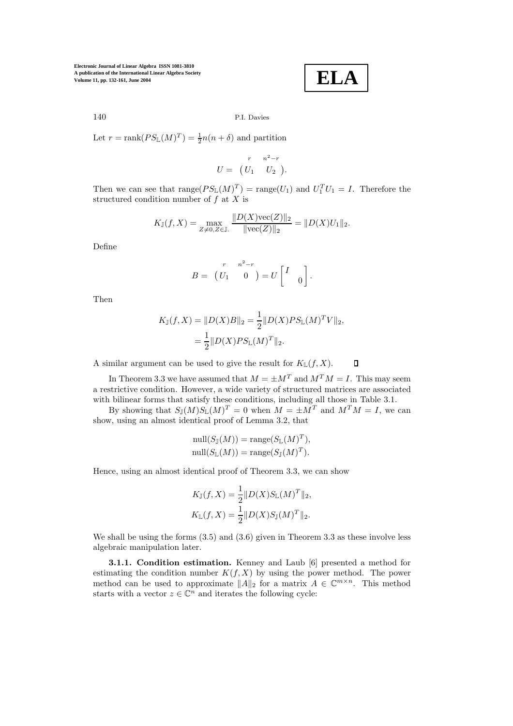$$
\boxed{\textbf{ELA}}
$$

## 140 P.I. Davies

Let  $r = \text{rank}(PS_{\mathbb{L}}(M)^{T}) = \frac{1}{2}n(n+\delta)$  and partition

$$
U = \begin{pmatrix} r & n^2 - r \\ U_1 & U_2 \end{pmatrix}.
$$

Then we can see that  $\text{range}(PS_{\mathbb{L}}(M)^T) = \text{range}(U_1)$  and  $U_1^T U_1 = I$ . Therefore the structured condition number of  $f$  at  $\overline{X}$  is

$$
K_{\mathbb{J}}(f, X) = \max_{Z \neq 0, Z \in \mathbb{J}} \frac{\|D(X)\text{vec}(Z)\|_2}{\|\text{vec}(Z)\|_2} = \|D(X)U_1\|_2.
$$

Define

$$
B = \begin{pmatrix} r & n^2 - r \\ U_1 & 0 \end{pmatrix} = U \begin{bmatrix} I \\ 0 \end{bmatrix}.
$$

Then

$$
K_{\mathbb{J}}(f, X) = ||D(X)B||_2 = \frac{1}{2} ||D(X)PS_{\mathbb{L}}(M)^T V||_2,
$$
  
=  $\frac{1}{2} ||D(X)PS_{\mathbb{L}}(M)^T ||_2.$ 

A similar argument can be used to give the result for  $K_{\mathbb{L}}(f, X)$ .  $\Box$ 

In Theorem 3.3 we have assumed that  $M = \pm M^T$  and  $M^T M = I$ . This may seem a restrictive condition. However, a wide variety of structured matrices are associated with bilinear forms that satisfy these conditions, including all those in Table 3.1.

By showing that  $S_{\mathbb{J}}(M)S_{\mathbb{L}}(M)^{T}=0$  when  $M=\pm M^{T}$  and  $M^{T}M=I$ , we can show, using an almost identical proof of Lemma 3.2, that

$$
\text{null}(S_{\mathbb{J}}(M)) = \text{range}(S_{\mathbb{L}}(M)^{T}),
$$
  

$$
\text{null}(S_{\mathbb{L}}(M)) = \text{range}(S_{\mathbb{J}}(M)^{T}).
$$

Hence, using an almost identical proof of Theorem 3.3, we can show

$$
K_{\mathbb{J}}(f, X) = \frac{1}{2} ||D(X)S_{\mathbb{L}}(M)^{T}||_2,
$$
  

$$
K_{\mathbb{L}}(f, X) = \frac{1}{2} ||D(X)S_{\mathbb{J}}(M)^{T}||_2.
$$

We shall be using the forms  $(3.5)$  and  $(3.6)$  given in Theorem 3.3 as these involve less algebraic manipulation later.

**3.1.1. Condition estimation.** Kenney and Laub [6] presented a method for estimating the condition number  $K(f, X)$  by using the power method. The power method can be used to approximate  $||A||_2$  for a matrix  $A \in \mathbb{C}^{m \times n}$ . This method starts with a vector  $z \in \mathbb{C}^n$  and iterates the following cycle: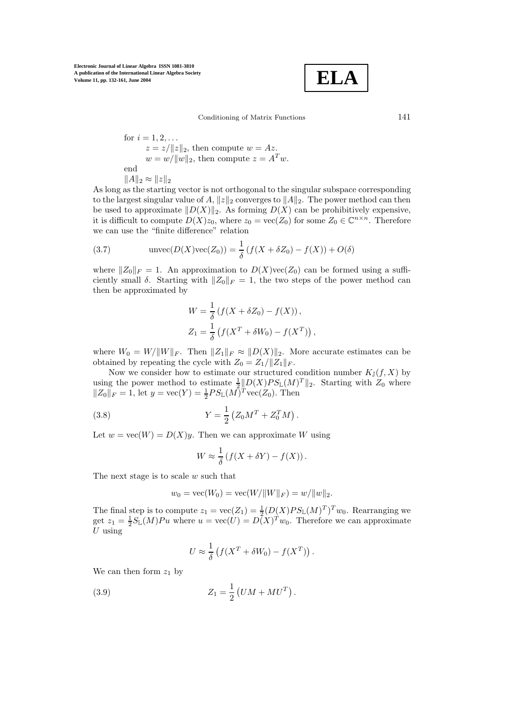$$
\boxed{\textbf{ELA}}
$$

Conditioning of Matrix Functions 141

for  $i = 1, 2, ...$  $z = z/\Vert z \Vert_2$ , then compute  $w = Az$ .  $w = w/||w||_2$ , then compute  $z = A<sup>T</sup>w$ . end  $||A||_2 \approx ||z||_2$ 

As long as the starting vector is not orthogonal to the singular subspace corresponding to the largest singular value of A,  $||z||_2$  converges to  $||A||_2$ . The power method can then be used to approximate  $||D(X)||_2$ . As forming  $D(X)$  can be prohibitively expensive, it is difficult to compute  $D(X)z_0$ , where  $z_0 = \text{vec}(Z_0)$  for some  $Z_0 \in \mathbb{C}^{n \times n}$ . Therefore we can use the "finite difference" relation

(3.7) 
$$
\text{unvec}(D(X)\text{vec}(Z_0)) = \frac{1}{\delta} (f(X + \delta Z_0) - f(X)) + O(\delta)
$$

where  $||Z_0||_F = 1$ . An approximation to  $D(X)\text{vec}(Z_0)$  can be formed using a sufficiently small  $\delta$ . Starting with  $\|Z_0\|_F = 1$ , the two steps of the power method can then be approximated by

$$
W = \frac{1}{\delta} (f(X + \delta Z_0) - f(X)),
$$
  
\n
$$
Z_1 = \frac{1}{\delta} (f(X^T + \delta W_0) - f(X^T)),
$$

where  $W_0 = W/||W||_F$ . Then  $||Z_1||_F \approx ||D(X)||_2$ . More accurate estimates can be obtained by repeating the cycle with  $Z_0 = Z_1 / ||Z_1||_F$ .

Now we consider how to estimate our structured condition number  $K_{\mathbb{J}}(f, X)$  by using the power method to estimate  $\frac{1}{2}||D(X)PS_{\mathbb{L}}(M)<sup>T</sup>||_2$ . Starting with  $Z_0$  where  $||Z_0||_F = 1$ , let  $y = \text{vec}(Y) = \frac{1}{2}PS_{\mathbb{L}}(M)^T \text{vec}(Z_0)$ . Then

(3.8) 
$$
Y = \frac{1}{2} \left( Z_0 M^T + Z_0^T M \right).
$$

Let  $w = \text{vec}(W) = D(X)y$ . Then we can approximate W using

$$
W \approx \frac{1}{\delta} \left( f(X + \delta Y) - f(X) \right).
$$

The next stage is to scale w such that

$$
w_0 = \text{vec}(W_0) = \text{vec}(W/\|W\|_F) = w/\|w\|_2.
$$

The final step is to compute  $z_1 = \text{vec}(Z_1) = \frac{1}{2}(D(X)PS_{\mathbb{L}}(M)^T)^T w_0$ . Rearranging we get  $z_1 = \frac{1}{2}S_{\mathbb{L}}(M)Pu$  where  $u = \text{vec}(U) = D(X)^T w_0$ . Therefore we can approximate  $U$  using

$$
U \approx \frac{1}{\delta} \left( f(X^T + \delta W_0) - f(X^T) \right).
$$

We can then form  $z_1$  by

(3.9) 
$$
Z_1 = \frac{1}{2} (UM + MU^T).
$$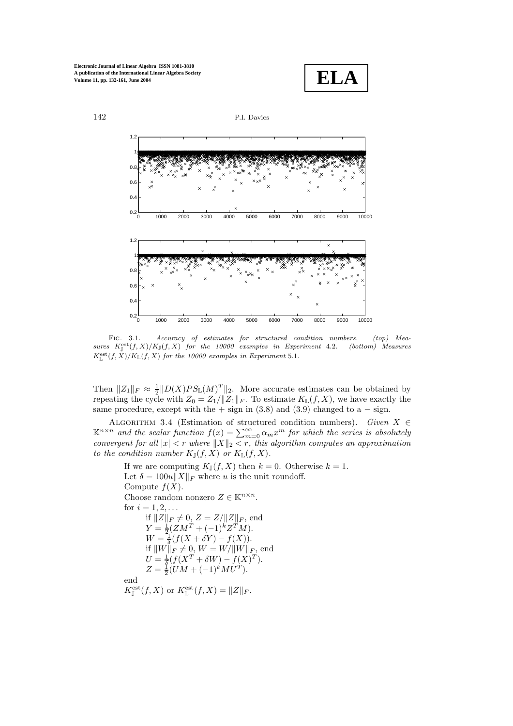



FIG. 3.1. Accuracy of estimates for structured condition numbers. (top) Measures  $K_j^{\text{est}}(f, X)/K_J(f, X)$  for the 10000 examples in Experiment 4.2. (bottom) Measures  $K_{\mathbb L}^{\text{est}}(f,X)/K_{\mathbb L}(f,X)$  for the 10000 examples in Experiment 5.1.

Then  $||Z_1||_F \approx \frac{1}{2}||D(X)PS_{\mathbb{L}}(M)^T||_2$ . More accurate estimates can be obtained by repeating the cycle with  $Z_0 = Z_1 / ||Z_1||_F$ . To estimate  $K_L(f, X)$ , we have exactly the same procedure, except with the + sign in  $(3.8)$  and  $(3.9)$  changed to a – sign.

ALGORITHM 3.4 (Estimation of structured condition numbers). Given  $X \in \mathbb{R}^{n \times n}$  and the scalar function  $f(x) = \sum_{m=0}^{\infty} \alpha_m x^m$  for which the series is absolutely convergent for all  $|x| < r$  where  $||X||_2 < r$ , this algorithm computes an approximation to the condition number  $K_{\mathbb{J}}(f,X)$  or  $K_{\mathbb{L}}(f,X)$ .

If we are computing  $K_{\mathbb{J}}(f, X)$  then  $k = 0$ . Otherwise  $k = 1$ . Let  $\delta = 100u||X||_F$  where u is the unit roundoff. Compute  $f(X)$ . Choose random nonzero  $Z \in \mathbb{K}^{n \times n}.$ for  $i = 1, 2, ...$ if  $||Z||_F \neq 0, Z = Z/||Z||_F$ , end  $Y = \frac{1}{2}(ZM^{T} + (-1)^{k}Z^{T}M).$  $W = \frac{1}{\delta}(f(X + \delta Y) - f(X)).$ if  $||W||_F \neq 0, W = W/||W||_F$ , end  $U = \frac{1}{\delta} (f(X^T + \delta W) - f(X^T)^T).$  $Z = \frac{1}{2}(\dot{U}M + (-1)^{\dot{k}}M\dot{U}^{\dot{T}}).$ end  $K_{\mathbb{J}}^{\text{est}}(f, X)$  or  $K_{\mathbb{L}}^{\text{est}}(f, X) = ||Z||_F$ .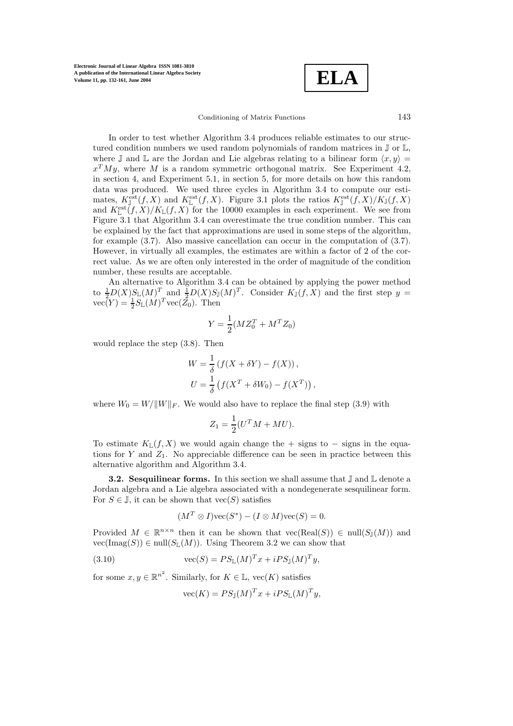$$
\boxed{\textbf{ELA}}
$$

Conditioning of Matrix Functions 143

In order to test whether Algorithm 3.4 produces reliable estimates to our structured condition numbers we used random polynomials of random matrices in  $\mathbb J$  or  $\mathbb L$ , where I and L are the Jordan and Lie algebras relating to a bilinear form  $\langle x, y \rangle =$  $x^T M y$ , where M is a random symmetric orthogonal matrix. See Experiment 4.2, in section 4, and Experiment 5.1, in section 5, for more details on how this random data was produced. We used three cycles in Algorithm 3.4 to compute our estimates,  $K_{\mathbb{J}}^{\text{est}}(f,X)$  and  $K_{\mathbb{L}}^{\text{est}}(f,X)$ . Figure 3.1 plots the ratios  $K_{\mathbb{J}}^{\text{est}}(f,X)/K_{\mathbb{J}}(f,X)$ and  $K_{\mathbb{L}}^{\text{est}}(f, X)/K_{\mathbb{L}}(f, X)$  for the 10000 examples in each experiment. We see from Figure 3.1 that Algorithm 3.4 can overestimate the true condition number. This can be explained by the fact that approximations are used in some steps of the algorithm, for example (3.7). Also massive cancellation can occur in the computation of (3.7). However, in virtually all examples, the estimates are within a factor of 2 of the correct value. As we are often only interested in the order of magnitude of the condition number, these results are acceptable.

An alternative to Algorithm 3.4 can be obtained by applying the power method to  $\frac{1}{2}D(X)S_{\mathbb{L}}(M)^{T}$  and  $\frac{1}{2}D(X)S_{\mathbb{J}}(M)^{T}$ . Consider  $K_{\mathbb{J}}(f,X)$  and the first step  $y=$  $vec(Y) = \frac{1}{2} S_{\mathbb{L}}(M)^T vec(\mathcal{Z}_0)$ . Then

$$
Y = \frac{1}{2}(MZ_0^T + M^T Z_0)
$$

would replace the step (3.8). Then

$$
W = \frac{1}{\delta} \left( f(X + \delta Y) - f(X) \right),
$$
  
\n
$$
U = \frac{1}{\delta} \left( f(X^T + \delta W_0) - f(X^T) \right),
$$

where  $W_0 = W/||W||_F$ . We would also have to replace the final step (3.9) with

$$
Z_1 = \frac{1}{2}(U^T M + MU).
$$

To estimate  $K_L(f, X)$  we would again change the + signs to – signs in the equations for Y and  $Z_1$ . No appreciable difference can be seen in practice between this alternative algorithm and Algorithm 3.4.

**3.2. Sesquilinear forms.** In this section we shall assume that  $\mathbb{J}$  and  $\mathbb{L}$  denote a Jordan algebra and a Lie algebra associated with a nondegenerate sesquilinear form. For  $S \in \mathbb{J}$ , it can be shown that  $\text{vec}(S)$  satisfies

$$
(M^T \otimes I) \text{vec}(S^*) - (I \otimes M) \text{vec}(S) = 0.
$$

Provided  $M \in \mathbb{R}^{n \times n}$  then it can be shown that  $vec(\text{Real}(S)) \in null(S_{\mathbb{J}}(M))$  and  $vec(\text{Imag}(S)) \in null(S_{\mathbb{L}}(M)).$  Using Theorem 3.2 we can show that

(3.10) 
$$
\operatorname{vec}(S) = PS_{\mathbb{L}}(M)^{T}x + iPS_{\mathbb{J}}(M)^{T}y,
$$

for some  $x, y \in \mathbb{R}^{n^2}$ . Similarly, for  $K \in \mathbb{L}$ , vec $(K)$  satisfies

$$
\text{vec}(K) = PS_{\mathbb{J}}(M)^{T} x + iPS_{\mathbb{L}}(M)^{T} y,
$$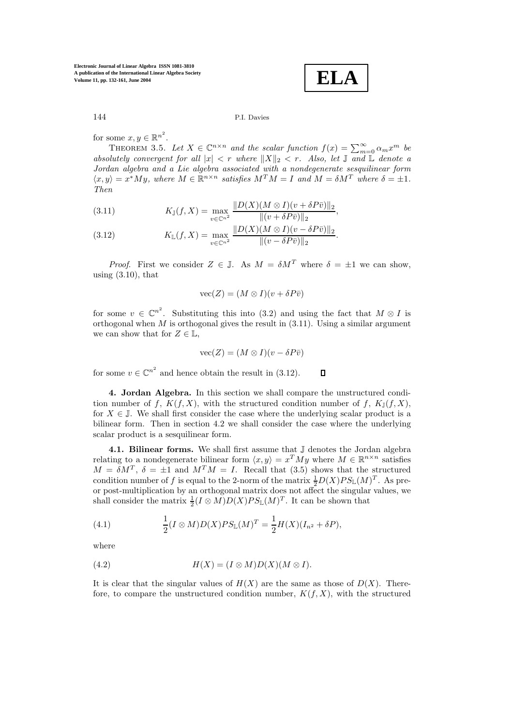**ELA**

for some  $x, y \in \mathbb{R}^{n^2}$ .

THEOREM 3.5. Let  $X \in \mathbb{C}^{n \times n}$  and the scalar function  $f(x) = \sum_{m=0}^{\infty} \alpha_m x^m$  be<br>plattely convergent for all  $|x| < r$  where  $||X||_2 < r$  Also let  $\mathbb{F}$  and  $\mathbb{F}$  denote a absolutely convergent for all  $|x| < r$  where  $||X||_2 < r$ . Also, let  $\mathbb{J}$  and  $\mathbb{L}$  denote a Jordan algebra and a Lie algebra associated with a nondegenerate sesquilinear form  $\langle x, y \rangle = x^*My$ , where  $M \in \mathbb{R}^{n \times n}$  satisfies  $M^T M = I$  and  $M = \delta M^T$  where  $\delta = \pm 1$ . Then

(3.11) 
$$
K_{\mathbb{J}}(f, X) = \max_{v \in \mathbb{C}^{n^2}} \frac{\|D(X)(M \otimes I)(v + \delta P \bar{v})\|_2}{\|(v + \delta P \bar{v})\|_2},
$$

(3.12) 
$$
K_{\mathbb{L}}(f, X) = \max_{v \in \mathbb{C}^{n^2}} \frac{\|D(X)(M \otimes I)(v - \delta P \bar{v})\|_2}{\|(v - \delta P \bar{v})\|_2}.
$$

*Proof.* First we consider  $Z \in \mathbb{J}$ . As  $M = \delta M^T$  where  $\delta = \pm 1$  we can show, using  $(3.10)$ , that

$$
\text{vec}(Z) = (M \otimes I)(v + \delta P \bar{v})
$$

for some  $v \in \mathbb{C}^{n^2}$ . Substituting this into (3.2) and using the fact that  $M \otimes I$  is orthogonal when  $M$  is orthogonal gives the result in  $(3.11)$ . Using a similar argument we can show that for  $Z \in \mathbb{L}$ ,

$$
\text{vec}(Z) = (M \otimes I)(v - \delta P \bar{v})
$$

for some  $v \in \mathbb{C}^{n^2}$  and hence obtain the result in (3.12).  $\Box$ 

**4. Jordan Algebra.** In this section we shall compare the unstructured condition number of f,  $K(f, X)$ , with the structured condition number of f,  $K_{\mathbb{I}}(f, X)$ , for  $X \in \mathbb{J}$ . We shall first consider the case where the underlying scalar product is a bilinear form. Then in section 4.2 we shall consider the case where the underlying scalar product is a sesquilinear form.

4.1. Bilinear forms. We shall first assume that  $\mathbb J$  denotes the Jordan algebra relating to a nondegenerate bilinear form  $\langle x, y \rangle = x^T M y$  where  $M \in \mathbb{R}^{n \times n}$  satisfies  $M = \delta M^T$ ,  $\delta = \pm 1$  and  $M^T M = I$ . Recall that (3.5) shows that the structured condition number of f is equal to the 2-norm of the matrix  $\frac{1}{2}D(X)PS_{\mathbb{L}}(M)^{T}$ . As preor post-multiplication by an orthogonal matrix does not affect the singular values, we shall consider the matrix  $\frac{1}{2}(I \otimes M)D(X)PS_{\mathbb{L}}(M)^{T}$ . It can be shown that

(4.1) 
$$
\frac{1}{2}(I \otimes M)D(X)PS_{\mathbb{L}}(M)^{T} = \frac{1}{2}H(X)(I_{n^{2}} + \delta P),
$$

where

(4.2) 
$$
H(X) = (I \otimes M)D(X)(M \otimes I).
$$

It is clear that the singular values of  $H(X)$  are the same as those of  $D(X)$ . Therefore, to compare the unstructured condition number,  $K(f, X)$ , with the structured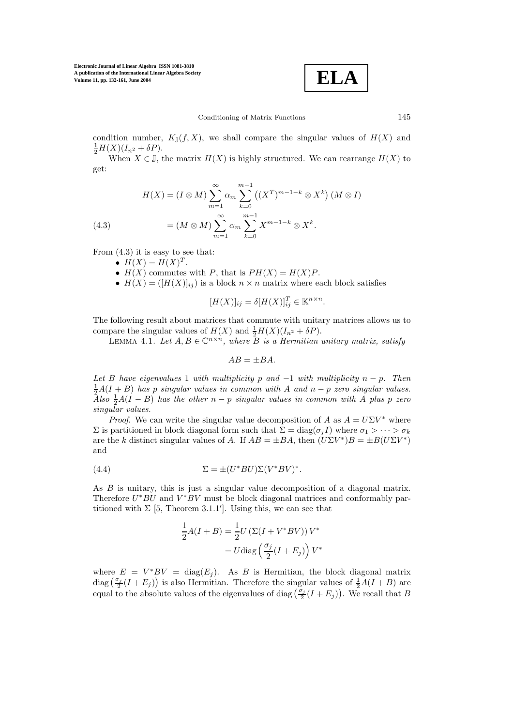

condition number,  $K_J(f, X)$ , we shall compare the singular values of  $H(X)$  and  $\frac{1}{2}H(X)(I_{n^2}+\delta P).$ 

When  $X \in \mathbb{J}$ , the matrix  $H(X)$  is highly structured. We can rearrange  $H(X)$  to get:

(4.3) 
$$
H(X) = (I \otimes M) \sum_{m=1}^{\infty} \alpha_m \sum_{k=0}^{m-1} ((X^T)^{m-1-k} \otimes X^k) (M \otimes I)
$$

$$
= (M \otimes M) \sum_{m=1}^{\infty} \alpha_m \sum_{k=0}^{m-1} X^{m-1-k} \otimes X^k.
$$

From  $(4.3)$  it is easy to see that:

- $H(X) = H(X)^T$ .
- $H(X)$  commutes with P, that is  $PH(X) = H(X)P$ .
- $H(X) = (H(X)|_{ij})$  is a block  $n \times n$  matrix where each block satisfies

$$
[H(X)]_{ij} = \delta [H(X)]_{ij}^T \in \mathbb{K}^{n \times n}.
$$

The following result about matrices that commute with unitary matrices allows us to compare the singular values of  $H(X)$  and  $\frac{1}{2}H(X)(I_{n^2} + \delta P)$ .

LEMMA 4.1. Let  $A, B \in \mathbb{C}^{n \times n}$ , where B is a Hermitian unitary matrix, satisfy

$$
AB = \pm BA.
$$

Let B have eigenvalues 1 with multiplicity p and  $-1$  with multiplicity  $n - p$ . Then  $\frac{1}{2}A(I + B)$  has p singular values in common with A and  $n - p$  zero singular values. Also  $\frac{1}{2}A(I - B)$  has the other n – p singular values in common with A plus p zero singular values.

*Proof.* We can write the singular value decomposition of A as  $A = U\Sigma V^*$  where  $\Sigma$  is partitioned in block diagonal form such that  $\Sigma = diag(\sigma_i I)$  where  $\sigma_1 > \cdots > \sigma_k$ are the k distinct singular values of A. If  $AB = \pm BA$ , then  $(U\Sigma V^*)B = \pm B(U\Sigma V^*)$ and

(4.4) 
$$
\Sigma = \pm (U^*BU)\Sigma (V^*BV)^*.
$$

As B is unitary, this is just a singular value decomposition of a diagonal matrix. Therefore  $U^*BU$  and  $V^*BV$  must be block diagonal matrices and conformably partitioned with  $\Sigma$  [5, Theorem 3.1.1']. Using this, we can see that

$$
\frac{1}{2}A(I+B) = \frac{1}{2}U(\Sigma(I+V^*BV))V^*
$$

$$
= U \text{diag}\left(\frac{\sigma_j}{2}(I+E_j)\right)V^*
$$

where  $E = V^*BV = diag(E_i)$ . As B is Hermitian, the block diagonal matrix diag  $(\frac{\sigma_j}{2}(I + E_j))$  is also Hermitian. Therefore the singular values of  $\frac{1}{2}A(I + B)$  are equal to the absolute values of the eigenvalues of diag  $(\frac{\sigma_j}{2}(I + E_j))$ . We recall that B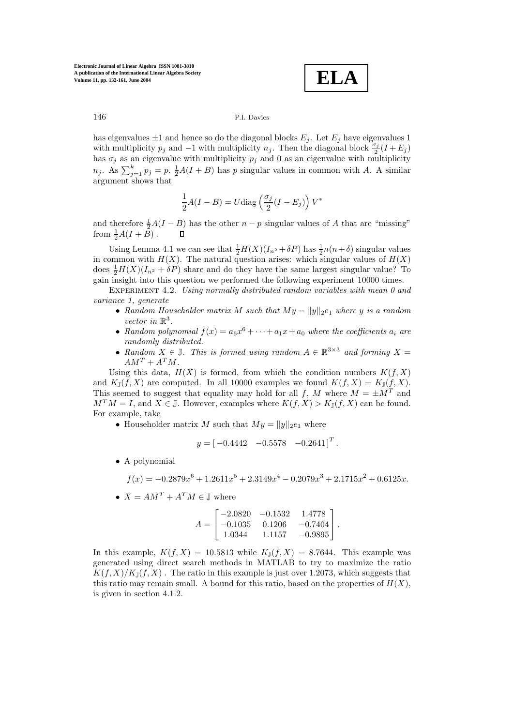**ELA**

has eigenvalues  $\pm 1$  and hence so do the diagonal blocks  $E_j$ . Let  $E_j$  have eigenvalues 1 with multiplicity  $p_j$  and  $-1$  with multiplicity  $n_j$ . Then the diagonal block  $\frac{\sigma_j}{2}(I + E_j)$ has  $\sigma_j$  as an eigenvalue with multiplicity  $p_j$  and 0 as an eigenvalue with multiplicity  $n_j$ . As  $\sum_{j=1}^k p_j = p$ ,  $\frac{1}{2}A(I + B)$  has p singular values in common with A. A similar argument shows that

$$
\frac{1}{2}A(I - B) = U \text{diag}\left(\frac{\sigma_j}{2}(I - E_j)\right)V^*
$$

and therefore  $\frac{1}{2}A(I - B)$  has the other  $n - p$  singular values of A that are "missing" from  $\frac{1}{2}A(I+\overset{2}{B})$ .  $\Box$ 

Using Lemma 4.1 we can see that  $\frac{1}{2}H(X)(I_{n^2} + \delta P)$  has  $\frac{1}{2}n(n+\delta)$  singular values in common with  $H(X)$ . The natural question arises: which singular values of  $H(X)$ does  $\frac{1}{2}H(X)(I_{n^2} + \delta P)$  share and do they have the same largest singular value? To gain insight into this question we performed the following experiment 10000 times.

EXPERIMENT 4.2. Using normally distributed random variables with mean 0 and variance 1, generate

- Random Householder matrix M such that  $My = ||y||_2e_1$  where y is a random vector in  $\mathbb{R}^3$ .
- Random polynomial  $f(x) = a_6x^6 + \cdots + a_1x + a_0$  where the coefficients  $a_i$  are randomly distributed.
- Random  $X \in \mathbb{J}$ . This is formed using random  $A \in \mathbb{R}^{3 \times 3}$  and forming  $X =$  $AM^T + A^T M$ .

Using this data,  $H(X)$  is formed, from which the condition numbers  $K(f, X)$ and  $K_{\mathbb{J}}(f, X)$  are computed. In all 10000 examples we found  $K(f, X) = K_{\mathbb{J}}(f, X)$ . This seemed to suggest that equality may hold for all f, M where  $M = \pm M^{T}$  and  $M<sup>T</sup>M = I$ , and  $X \in \mathbb{J}$ . However, examples where  $K(f, X) > K_{\mathbb{J}}(f, X)$  can be found. For example, take

• Householder matrix M such that  $My = ||y||_2e_1$  where

$$
y = \begin{bmatrix} -0.4442 & -0.5578 & -0.2641 \end{bmatrix}^T.
$$

• A polynomial

$$
f(x) = -0.2879x^{6} + 1.2611x^{5} + 2.3149x^{4} - 0.2079x^{3} + 2.1715x^{2} + 0.6125x.
$$

•  $X = AM^T + A^T M \in \mathbb{J}$  where

$$
A = \begin{bmatrix} -2.0820 & -0.1532 & 1.4778 \\ -0.1035 & 0.1206 & -0.7404 \\ 1.0344 & 1.1157 & -0.9895 \end{bmatrix}.
$$

In this example,  $K(f, X) = 10.5813$  while  $K_{\mathbb{J}}(f, X) = 8.7644$ . This example was generated using direct search methods in MATLAB to try to maximize the ratio  $K(f, X)/K_{\mathbb{I}}(f, X)$ . The ratio in this example is just over 1.2073, which suggests that this ratio may remain small. A bound for this ratio, based on the properties of  $H(X)$ , is given in section 4.1.2.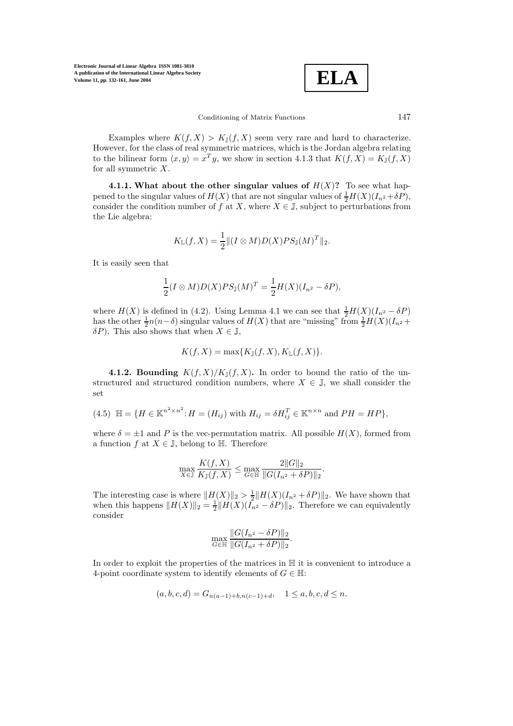**ELA**

Examples where  $K(f, X) > K<sub>\mathbb{J}}(f, X)</sub>$  seem very rare and hard to characterize. However, for the class of real symmetric matrices, which is the Jordan algebra relating to the bilinear form  $\langle x, y \rangle = x^T y$ , we show in section 4.1.3 that  $K(f, X) = K_J(f, X)$ for all symmetric  $X$ .

**4.1.1.** What about the other singular values of  $H(X)$ ? To see what happened to the singular values of  $H(X)$  that are not singular values of  $\frac{1}{2}H(X)(I_{n^2}+\delta P)$ , consider the condition number of f at X, where  $X \in \mathbb{J}$ , subject to perturbations from the Lie algebra:

$$
K_{\mathbb{L}}(f, X) = \frac{1}{2} \|(I \otimes M)D(X)PS_{\mathbb{J}}(M)^{T}\|_{2}.
$$

It is easily seen that

$$
\frac{1}{2}(I \otimes M)D(X)PS_{\mathbb{J}}(M)^{T} = \frac{1}{2}H(X)(I_{n^{2}} - \delta P),
$$

where  $H(X)$  is defined in (4.2). Using Lemma 4.1 we can see that  $\frac{1}{2}H(X)(I_{n^2}-\delta P)$ has the other  $\frac{1}{2}n(n-\delta)$  singular values of  $H(X)$  that are "missing" from  $\frac{1}{2}H(X)(I_{n^2}+I_{n^2})$  $\delta P$ ). This also shows that when  $X \in \mathbb{J}$ ,

$$
K(f, X) = \max\{K_{\mathbb{J}}(f, X), K_{\mathbb{L}}(f, X)\}.
$$

**4.1.2. Bounding**  $K(f, X)/K_{\mathbb{J}}(f, X)$ . In order to bound the ratio of the unstructured and structured condition numbers, where  $X \in \mathbb{J}$ , we shall consider the set

(4.5) 
$$
\mathbb{H} = \{ H \in \mathbb{K}^{n^2 \times n^2} : H = (H_{ij}) \text{ with } H_{ij} = \delta H_{ij}^T \in \mathbb{K}^{n \times n} \text{ and } PH = HP \},
$$

where  $\delta = \pm 1$  and P is the vec-permutation matrix. All possible  $H(X)$ , formed from a function f at  $X \in \mathbb{J}$ , belong to  $\mathbb{H}$ . Therefore

$$
\max_{X \in \mathbb{J}} \frac{K(f, X)}{K_{\mathbb{J}}(f, X)} \le \max_{G \in \mathbb{H}} \frac{2||G||_2}{||G(I_{n^2} + \delta P)||_2}.
$$

The interesting case is where  $||H(X)||_2 > \frac{1}{2} ||H(X)(I_{n^2} + \delta P)||_2$ . We have shown that when this happens  $||H(X)||_2 = \frac{1}{2} ||H(X)(I_{n^2} - \delta P)||_2$ . Therefore we can equivalently consider

$$
\max_{G \in \mathbb{H}} \frac{\|G(I_{n^2} - \delta P)\|_2}{\|G(I_{n^2} + \delta P)\|_2}.
$$

In order to exploit the properties of the matrices in H it is convenient to introduce a 4-point coordinate system to identify elements of  $G \in \mathbb{H}$ :

$$
(a, b, c, d) = G_{n(a-1)+b, n(c-1)+d}, \quad 1 \le a, b, c, d \le n.
$$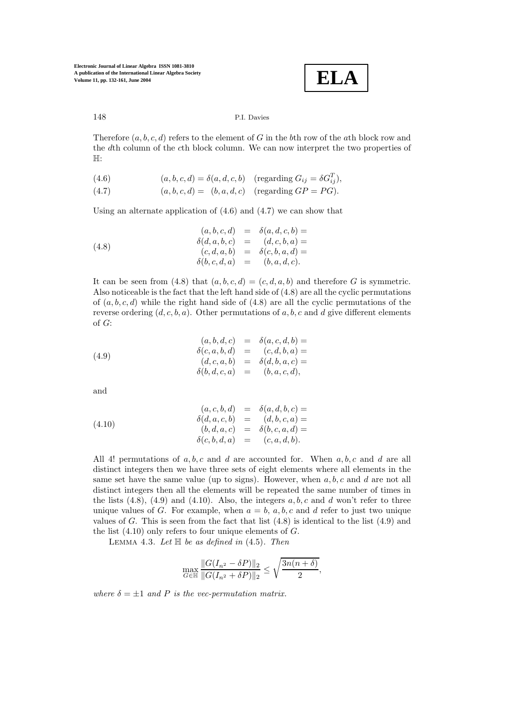

Therefore  $(a, b, c, d)$  refers to the element of G in the bth row of the ath block row and the dth column of the cth block column. We can now interpret the two properties of H:

- (4.6)  $(a, b, c, d) = \delta(a, d, c, b)$  (regarding  $G_{ij} = \delta G_{ij}^T$ ),
- (4.7)  $(a, b, c, d) = (b, a, d, c)$  (regarding  $GP = PG$ ).

Using an alternate application of  $(4.6)$  and  $(4.7)$  we can show that

(4.8)  
\n
$$
(a, b, c, d) = \delta(a, d, c, b) =
$$
\n
$$
\delta(d, a, b, c) = (d, c, b, a) =
$$
\n
$$
(c, d, a, b) = \delta(c, b, a, d) =
$$
\n
$$
\delta(b, c, d, a) = (b, a, d, c).
$$

It can be seen from (4.8) that  $(a, b, c, d)=(c, d, a, b)$  and therefore G is symmetric. Also noticeable is the fact that the left hand side of  $(4.8)$  are all the cyclic permutations of  $(a, b, c, d)$  while the right hand side of  $(4.8)$  are all the cyclic permutations of the reverse ordering  $(d, c, b, a)$ . Other permutations of a, b, c and d give different elements of G:

(4.9)  
\n
$$
(a, b, d, c) = \delta(a, c, d, b) =
$$
\n
$$
\delta(c, a, b, d) = (c, d, b, a) =
$$
\n
$$
(d, c, a, b) = \delta(d, b, a, c) =
$$
\n
$$
\delta(b, d, c, a) = (b, a, c, d),
$$

and

(4.10)  
\n
$$
(a, c, b, d) = \delta(a, d, b, c) =
$$
\n
$$
\delta(d, a, c, b) = (d, b, c, a) =
$$
\n
$$
(b, d, a, c) = \delta(b, c, a, d) =
$$
\n
$$
\delta(c, b, d, a) = (c, a, d, b).
$$

All 4! permutations of  $a, b, c$  and d are accounted for. When  $a, b, c$  and d are all distinct integers then we have three sets of eight elements where all elements in the same set have the same value (up to signs). However, when  $a, b, c$  and d are not all distinct integers then all the elements will be repeated the same number of times in the lists  $(4.8)$ ,  $(4.9)$  and  $(4.10)$ . Also, the integers  $a, b, c$  and d won't refer to three unique values of G. For example, when  $a = b$ , a, b, c and d refer to just two unique values of G. This is seen from the fact that list  $(4.8)$  is identical to the list  $(4.9)$  and the list  $(4.10)$  only refers to four unique elements of G.

LEMMA 4.3. Let  $\mathbb H$  be as defined in (4.5). Then

$$
\max_{G \in \mathbb{H}} \frac{\|G(I_{n^2} - \delta P)\|_2}{\|G(I_{n^2} + \delta P)\|_2} \le \sqrt{\frac{3n(n+\delta)}{2}},
$$

where  $\delta = \pm 1$  and P is the vec-permutation matrix.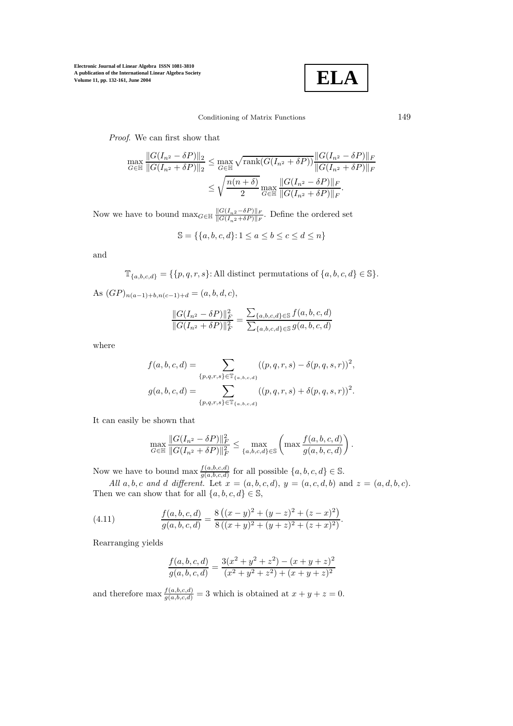

.

## Conditioning of Matrix Functions 149

Proof. We can first show that

$$
\max_{G \in \mathbb{H}} \frac{\|G(I_{n^2} - \delta P)\|_2}{\|G(I_{n^2} + \delta P)\|_2} \le \max_{G \in \mathbb{H}} \sqrt{\text{rank}(G(I_{n^2} + \delta P))} \frac{\|G(I_{n^2} - \delta P)\|_F}{\|G(I_{n^2} + \delta P)\|_F}
$$

$$
\le \sqrt{\frac{n(n+\delta)}{2}} \max_{G \in \mathbb{H}} \frac{\|G(I_{n^2} - \delta P)\|_F}{\|G(I_{n^2} + \delta P)\|_F}.
$$

Now we have to bound  $\max_{G \in \mathbb{H}} \frac{\|G(I_{n^2}-\delta P)\|_F}{\|G(I_{n^2}+\delta P)\|_F}$ . Define the ordered set

$$
\mathbb{S} = \{\{a, b, c, d\} \colon 1 \le a \le b \le c \le d \le n\}
$$

and

 $\mathbb{T}_{\{a,b,c,d\}} = \{\{p,q,r,s\}:\text{All distinct permutations of }\{a,b,c,d\} \in \mathbb{S}\}.$ 

As  $(GP)_{n(a-1)+b,n(c-1)+d} = (a, b, d, c),$ 

$$
\frac{\|G(I_{n^2}-\delta P)\|_F^2}{\|G(I_{n^2}+\delta P)\|_F^2} = \frac{\sum_{\{a,b,c,d\}\in \mathbb{S}} f(a,b,c,d)}{\sum_{\{a,b,c,d\}\in \mathbb{S}} g(a,b,c,d)}
$$

where

$$
f(a, b, c, d) = \sum_{\{p,q,r,s\} \in \mathbb{T}_{\{a,b,c,d\}}} ((p,q,r,s) - \delta(p,q,s,r))^2,
$$
  

$$
g(a, b, c, d) = \sum_{\{p,q,r,s\} \in \mathbb{T}_{\{a,b,c,d\}}} ((p,q,r,s) + \delta(p,q,s,r))^2.
$$

It can easily be shown that

$$
\max_{G \in \mathbb{H}} \frac{\|G(I_{n^2} - \delta P)\|_F^2}{\|G(I_{n^2} + \delta P)\|_F^2} \le \max_{\{a, b, c, d\} \in \mathbb{S}} \left(\max \frac{f(a, b, c, d)}{g(a, b, c, d)}\right)
$$

Now we have to bound max  $\frac{f(a,b,c,d)}{g(a,b,c,d)}$  for all possible  $\{a,b,c,d\} \in \mathbb{S}$ .

All a, b, c and d different. Let  $x = (a, b, c, d)$ ,  $y = (a, c, d, b)$  and  $z = (a, d, b, c)$ . Then we can show that for all  $\{a, b, c, d\} \in \mathbb{S}$ ,

(4.11) 
$$
\frac{f(a,b,c,d)}{g(a,b,c,d)} = \frac{8((x-y)^2 + (y-z)^2 + (z-x)^2)}{8((x+y)^2 + (y+z)^2 + (z+x)^2)}.
$$

Rearranging yields

$$
\frac{f(a,b,c,d)}{g(a,b,c,d)} = \frac{3(x^2+y^2+z^2) - (x+y+z)^2}{(x^2+y^2+z^2) + (x+y+z)^2}
$$

and therefore max  $\frac{f(a,b,c,d)}{g(a,b,c,d)} = 3$  which is obtained at  $x + y + z = 0$ .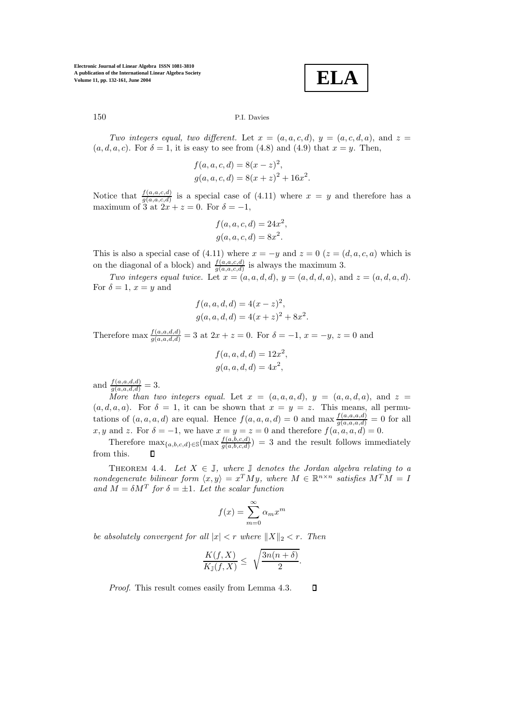**ELA**

# 150 P.I. Davies

Two integers equal, two different. Let  $x = (a, a, c, d)$ ,  $y = (a, c, d, a)$ , and  $z =$  $(a, d, a, c)$ . For  $\delta = 1$ , it is easy to see from (4.8) and (4.9) that  $x = y$ . Then,

$$
f(a, a, c, d) = 8(x - z)2,
$$
  
 
$$
g(a, a, c, d) = 8(x + z)2 + 16x2.
$$

Notice that  $\frac{f(a,a,c,d)}{g(a,a,c,d)}$  is a special case of (4.11) where  $x = y$  and therefore has a maximum of 3 at  $2x + z = 0$ . For  $\delta = -1$ ,

$$
f(a, a, c, d) = 24x2,
$$
  

$$
g(a, a, c, d) = 8x2.
$$

This is also a special case of (4.11) where  $x = -y$  and  $z = 0$  ( $z = (d, a, c, a)$  which is on the diagonal of a block) and  $\frac{f(a,a,c,d)}{g(a,a,c,d)}$  is always the maximum 3.

Two integers equal twice. Let  $x = (a, a, d, d)$ ,  $y = (a, d, d, a)$ , and  $z = (a, d, a, d)$ . For  $\delta = 1$ ,  $x = y$  and

$$
f(a, a, d, d) = 4(x - z)2,
$$
  
 
$$
g(a, a, d, d) = 4(x + z)2 + 8x2.
$$

Therefore max  $\frac{f(a,a,d,d)}{g(a,a,d,d)} = 3$  at  $2x + z = 0$ . For  $\delta = -1, x = -y, z = 0$  and

$$
f(a, a, d, d) = 12x2,
$$
  

$$
g(a, a, d, d) = 4x2,
$$

and  $\frac{f(a,a,d,d)}{g(a,a,d,d)} = 3.$ 

More than two integers equal. Let  $x = (a, a, a, d)$ ,  $y = (a, a, d, a)$ , and  $z =$  $(a, d, a, a)$ . For  $\delta = 1$ , it can be shown that  $x = y = z$ . This means, all permutations of  $(a, a, a, d)$  are equal. Hence  $f(a, a, a, d) = 0$  and max  $\frac{f(a, a, a, d)}{g(a, a, a, d)} = 0$  for all x, y and z. For  $\delta = -1$ , we have  $x = y = z = 0$  and therefore  $f(a, a, a, d) = 0$ .

Therefore  $\max_{\{a,b,c,d\} \in \mathcal{S}} (\max \frac{f(a,b,c,d)}{g(a,b,c,d)}) = 3$  and the result follows immediately from this.

THEOREM 4.4. Let  $X \in \mathbb{J}$ , where  $\mathbb{J}$  denotes the Jordan algebra relating to a nondegenerate bilinear form  $\langle x, y \rangle = x^T M y$ , where  $M \in \mathbb{R}^{n \times n}$  satisfies  $M^T M = I$ and  $\tilde{M} = \delta M^T$  for  $\delta = \pm 1$ . Let the scalar function

$$
f(x) = \sum_{m=0}^{\infty} \alpha_m x^m
$$

be absolutely convergent for all  $|x| < r$  where  $||X||_2 < r$ . Then

$$
\frac{K(f,X)}{K_{\mathbb{J}}(f,X)} \leq \sqrt{\frac{3n(n+\delta)}{2}}.
$$

Proof. This result comes easily from Lemma 4.3.  $\Box$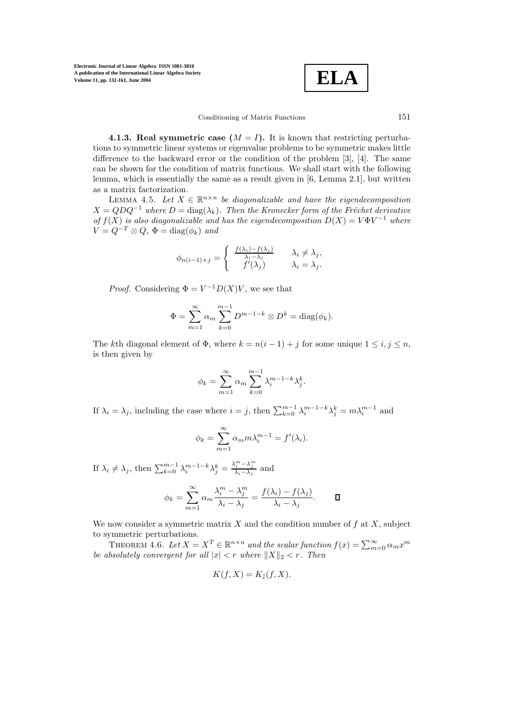$$
\boxed{\text{ELA}}
$$

#### Conditioning of Matrix Functions 151

**4.1.3. Real symmetric case**  $(M = I)$ **.** It is known that restricting perturbations to symmetric linear systems or eigenvalue problems to be symmetric makes little difference to the backward error or the condition of the problem [3], [4]. The same can be shown for the condition of matrix functions. We shall start with the following lemma, which is essentially the same as a result given in [6, Lemma 2.1], but written as a matrix factorization.

LEMMA 4.5. Let  $X \in \mathbb{R}^{n \times n}$  be diagonalizable and have the eigendecomposition  $X = QDQ^{-1}$  where  $D = \text{diag}(\lambda_k)$ . Then the Kronecker form of the Fréchet derivative of  $f(X)$  is also diagonalizable and has the eigendecomposition  $D(X) = V\Phi V^{-1}$  where  $V = Q^{-T} \otimes Q$ ,  $\Phi = \text{diag}(\phi_k)$  and

$$
\phi_{n(i-1)+j} = \begin{cases} \frac{f(\lambda_i) - f(\lambda_j)}{\lambda_i - \lambda_j} & \lambda_i \neq \lambda_j, \\ f'(\lambda_j) & \lambda_i = \lambda_j. \end{cases}
$$

*Proof.* Considering  $\Phi = V^{-1}D(X)V$ , we see that

$$
\Phi = \sum_{m=1}^{\infty} \alpha_m \sum_{k=0}^{m-1} D^{m-1-k} \otimes D^k = \text{diag}(\phi_k).
$$

The kth diagonal element of  $\Phi$ , where  $k = n(i-1) + j$  for some unique  $1 \le i, j \le n$ , is then given by

$$
\phi_k = \sum_{m=1}^{\infty} \alpha_m \sum_{k=0}^{m-1} \lambda_i^{m-1-k} \lambda_j^k.
$$

If  $\lambda_i = \lambda_j$ , including the case where  $i = j$ , then  $\sum_{k=0}^{m-1} \lambda_i^{m-1-k} \lambda_j^k = m \lambda_i^{m-1}$  and

$$
\phi_k = \sum_{m=1}^{\infty} \alpha_m m \lambda_i^{m-1} = f'(\lambda_i).
$$

If  $\lambda_i \neq \lambda_j$ , then  $\sum_{k=0}^{m-1} \lambda_i^{m-1-k} \lambda_j^k = \frac{\lambda_i^m - \lambda_j^m}{\lambda_i - \lambda_j}$  and

$$
\phi_k = \sum_{m=1}^{\infty} \alpha_m \frac{\lambda_i^m - \lambda_j^m}{\lambda_i - \lambda_j} = \frac{f(\lambda_i) - f(\lambda_j)}{\lambda_i - \lambda_j}.
$$

We now consider a symmetric matrix  $X$  and the condition number of  $f$  at  $X$ , subject to symmetric perturbations.

THEOREM 4.6. Let  $X = X^T \in \mathbb{R}^{n \times n}$  and the scalar function  $f(x) = \sum_{m=0}^{\infty} \alpha_m x^m$ <br>healytely convergent for all  $|x| < r$  where  $||X||_2 < r$ . Then be absolutely convergent for all  $|x| < r$  where  $||X||_2 < r$ . Then

$$
K(f, X) = K_{\mathbb{J}}(f, X).
$$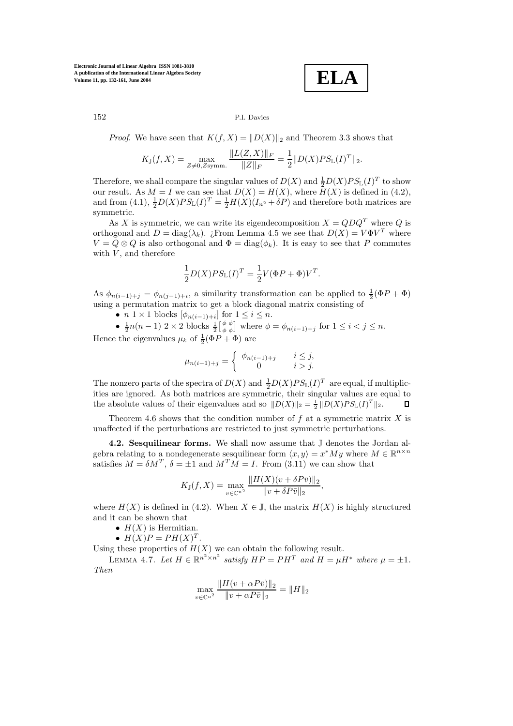**ELA**

# 152 P.I. Davies

*Proof.* We have seen that  $K(f, X) = ||D(X)||_2$  and Theorem 3.3 shows that

$$
K_{\mathbb{J}}(f, X) = \max_{Z \neq 0, Z \text{symm.}} \frac{\|L(Z, X)\|_F}{\|Z\|_F} = \frac{1}{2} \|D(X)PS_{\mathbb{L}}(I)^T\|_2.
$$

Therefore, we shall compare the singular values of  $D(X)$  and  $\frac{1}{2}D(X)PS_{\mathbb{L}}(I)^{T}$  to show our result. As  $M = I$  we can see that  $D(X) = H(X)$ , where  $H(X)$  is defined in (4.2), and from (4.1),  $\frac{1}{2}D(X)PS_{\mathbb{L}}(I)^{T} = \frac{1}{2}H(X)(I_{n^{2}} + \delta P)$  and therefore both matrices are symmetric.

As X is symmetric, we can write its eigendecomposition  $X = QDQ^T$  where Q is orthogonal and  $D = \text{diag}(\lambda_k)$ . *i*. From Lemma 4.5 we see that  $D(X) = V \Phi V^T$  where  $V = Q \otimes Q$  is also orthogonal and  $\Phi = \text{diag}(\phi_k)$ . It is easy to see that P commutes with  $V$ , and therefore

$$
\frac{1}{2}D(X)PS_{\mathbb{L}}(I)^{T} = \frac{1}{2}V(\Phi P + \Phi)V^{T}.
$$

As  $\phi_{n(i-1)+j} = \phi_{n(j-1)+i}$ , a similarity transformation can be applied to  $\frac{1}{2}(\Phi P + \Phi)$ using a permutation matrix to get a block diagonal matrix consisting of

•  $n \geq 1 \times 1$  blocks  $[\phi_{n(i-1)+i}]$  for  $1 \leq i \leq n$ .

•  $\frac{1}{2}n(n-1)$  2 × 2 blocks  $\frac{1}{2} \begin{bmatrix} \phi & \phi \\ \phi & \phi \end{bmatrix}$  where  $\phi = \phi_{n(i-1)+j}$  for  $1 \leq i < j \leq n$ . Hence the eigenvalues  $\mu_k$  of  $\frac{1}{2}(\Phi P + \Phi)$  are

$$
\mu_{n(i-1)+j} = \begin{cases} \phi_{n(i-1)+j} & i \leq j, \\ 0 & i > j. \end{cases}
$$

The nonzero parts of the spectra of  $D(X)$  and  $\frac{1}{2}D(X)PS_{\mathbb{L}}(I)^{T}$  are equal, if multiplicities are ignored. As both matrices are symmetric, their singular values are equal to the absolute values of their eigenvalues and so  $||D(X)||_2 = \frac{1}{2} ||D(X)PS_{\mathbb{L}}(I)^T||_2$ .  $\Box$ 

Theorem 4.6 shows that the condition number of  $f$  at a symmetric matrix  $X$  is unaffected if the perturbations are restricted to just symmetric perturbations.

**4.2. Sesquilinear forms.** We shall now assume that J denotes the Jordan algebra relating to a nondegenerate sesquilinear form  $\langle x, y \rangle = x^*My$  where  $M \in \mathbb{R}^{n \times n}$ satisfies  $M = \delta M^T$ ,  $\delta = \pm 1$  and  $M^T M = I$ . From  $(3.11)$  we can show that

$$
K_{\mathbb{J}}(f, X) = \max_{v \in \mathbb{C}^{n^2}} \frac{\|H(X)(v + \delta P\bar{v})\|_2}{\|v + \delta P\bar{v}\|_2},
$$

where  $H(X)$  is defined in (4.2). When  $X \in \mathbb{J}$ , the matrix  $H(X)$  is highly structured and it can be shown that

- $H(X)$  is Hermitian.
- $H(X)P = PH(X)^T$ .

Using these properties of  $H(X)$  we can obtain the following result.

LEMMA 4.7. Let  $H \in \mathbb{R}^{n^2 \times n^2}$  satisfy  $HP = PH^T$  and  $H = \mu H^*$  where  $\mu = \pm 1$ . Then

$$
\max_{v \in \mathbb{C}^{n^2}} \frac{\|H(v + \alpha P\bar{v})\|_2}{\|v + \alpha P\bar{v}\|_2} = \|H\|_2
$$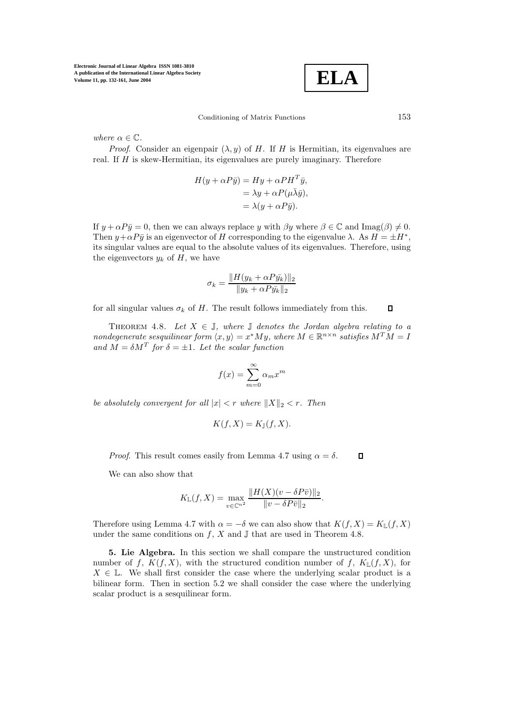

Conditioning of Matrix Functions 153

where  $\alpha \in \mathbb{C}$ .

*Proof.* Consider an eigenpair  $(\lambda, y)$  of H. If H is Hermitian, its eigenvalues are real. If  $H$  is skew-Hermitian, its eigenvalues are purely imaginary. Therefore

$$
H(y + \alpha P\bar{y}) = Hy + \alpha PH^{T}\bar{y},
$$
  
=  $\lambda y + \alpha P(\mu \bar{\lambda} \bar{y}),$   
=  $\lambda (y + \alpha P\bar{y}).$ 

If  $y + \alpha P\bar{y} = 0$ , then we can always replace y with  $\beta y$  where  $\beta \in \mathbb{C}$  and Imag( $\beta$ )  $\neq$  0. Then  $y + \alpha P\bar{y}$  is an eigenvector of H corresponding to the eigenvalue  $\lambda$ . As  $H = \pm H^*$ , its singular values are equal to the absolute values of its eigenvalues. Therefore, using the eigenvectors  $y_k$  of  $H$ , we have

$$
\sigma_k = \frac{\|H(y_k + \alpha P \bar{y_k})\|_2}{\|y_k + \alpha P \bar{y_k}\|_2}
$$

for all singular values  $\sigma_k$  of H. The result follows immediately from this.

THEOREM 4.8. Let  $X \in \mathbb{J}$ , where  $\mathbb J$  denotes the Jordan algebra relating to a nondegenerate sesquilinear form  $\langle x, y \rangle = x^*My$ , where  $M \in \mathbb{R}^{n \times n}$  satisfies  $M^TM = I$ and  $M = \delta M^T$  for  $\delta = \pm 1$ . Let the scalar function

$$
f(x) = \sum_{m=0}^{\infty} \alpha_m x^m
$$

be absolutely convergent for all  $|x| < r$  where  $||X||_2 < r$ . Then

$$
K(f, X) = K_{\mathbb{J}}(f, X).
$$

*Proof.* This result comes easily from Lemma 4.7 using  $\alpha = \delta$ .  $\Box$ 

We can also show that

$$
K_{\mathbb{L}}(f, X) = \max_{v \in \mathbb{C}^{n^2}} \frac{\|H(X)(v - \delta P\bar{v})\|_2}{\|v - \delta P\bar{v}\|_2}.
$$

Therefore using Lemma 4.7 with  $\alpha = -\delta$  we can also show that  $K(f, X) = K_{\mathbb{L}}(f, X)$ under the same conditions on  $f, X$  and  $\mathbb{J}$  that are used in Theorem 4.8.

**5. Lie Algebra.** In this section we shall compare the unstructured condition number of f,  $K(f, X)$ , with the structured condition number of f,  $K_L(f, X)$ , for  $X \in \mathbb{L}$ . We shall first consider the case where the underlying scalar product is a bilinear form. Then in section 5.2 we shall consider the case where the underlying scalar product is a sesquilinear form.

 $\Box$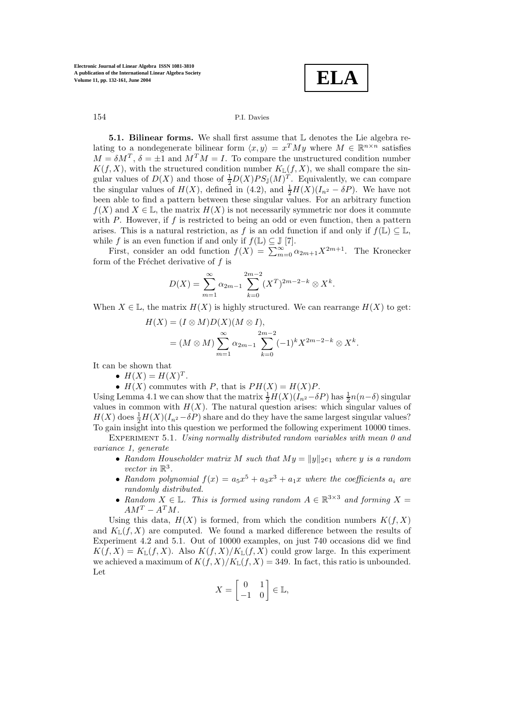**ELA**

**5.1. Bilinear forms.** We shall first assume that L denotes the Lie algebra relating to a nondegenerate bilinear form  $\langle x, y \rangle = x^T M y$  where  $M \in \mathbb{R}^{n \times n}$  satisfies  $M = \delta M^T$ ,  $\delta = \pm 1$  and  $M^T M = I$ . To compare the unstructured condition number  $K(f, X)$ , with the structured condition number  $K_{\mathbb{L}}(f, X)$ , we shall compare the singular values of  $D(X)$  and those of  $\frac{1}{2}D(X)PS_{\mathbb{J}}(M)^{T}$ . Equivalently, we can compare the singular values of  $H(X)$ , defined in  $(4.2)$ , and  $\frac{1}{2}H(X)(I_{n^2} - \delta P)$ . We have not been able to find a pattern between these singular values. For an arbitrary function  $f(X)$  and  $X \in \mathbb{L}$ , the matrix  $H(X)$  is not necessarily symmetric nor does it commute with  $P$ . However, if  $f$  is restricted to being an odd or even function, then a pattern arises. This is a natural restriction, as f is an odd function if and only if  $f(\mathbb{L}) \subseteq \mathbb{L}$ , while f is an even function if and only if  $f(\mathbb{L}) \subseteq \mathbb{J} [7]$ .

First, consider an odd function  $f(X) = \sum_{m=0}^{\infty} \alpha_{2m+1} X^{2m+1}$ . The Kronecker form of the Fréchet derivative of  $f$  is

$$
D(X) = \sum_{m=1}^{\infty} \alpha_{2m-1} \sum_{k=0}^{2m-2} (X^T)^{2m-2-k} \otimes X^k.
$$

When  $X \in \mathbb{L}$ , the matrix  $H(X)$  is highly structured. We can rearrange  $H(X)$  to get:

$$
H(X) = (I \otimes M)D(X)(M \otimes I),
$$
  
=  $(M \otimes M) \sum_{m=1}^{\infty} \alpha_{2m-1} \sum_{k=0}^{2m-2} (-1)^k X^{2m-2-k} \otimes X^k.$ 

It can be shown that

•  $H(X) = H(X)^T$ .

•  $H(X)$  commutes with P, that is  $PH(X) = H(X)P$ .

Using Lemma 4.1 we can show that the matrix  $\frac{1}{2}H(X)(I_{n^2}-\delta P)$  has  $\frac{1}{2}n(n-\delta)$  singular values in common with  $H(X)$ . The natural question arises: which singular values of  $H(X)$  does  $\frac{1}{2}H(X)(I_{n^2}-\delta P)$  share and do they have the same largest singular values? To gain insight into this question we performed the following experiment 10000 times.

EXPERIMENT 5.1. Using normally distributed random variables with mean 0 and variance 1, generate

- Random Householder matrix M such that  $My = ||y||_2e_1$  where y is a random vector in  $\mathbb{R}^3$ .
- Random polynomial  $f(x) = a_5x^5 + a_3x^3 + a_1x$  where the coefficients  $a_i$  are randomly distributed.
- Random  $X \in \mathbb{L}$ . This is formed using random  $A \in \mathbb{R}^{3 \times 3}$  and forming  $X =$  $AM^T - A^T M$ .

Using this data,  $H(X)$  is formed, from which the condition numbers  $K(f, X)$ and  $K_{\mathbb{L}}(f, X)$  are computed. We found a marked difference between the results of Experiment 4.2 and 5.1. Out of 10000 examples, on just 740 occasions did we find  $K(f, X) = K_{\mathbb{L}}(f, X)$ . Also  $K(f, X)/K_{\mathbb{L}}(f, X)$  could grow large. In this experiment we achieved a maximum of  $K(f, X)/K_{\mathbb{L}}(f, X)= 349$ . In fact, this ratio is unbounded. Let

$$
X = \begin{bmatrix} 0 & 1 \\ -1 & 0 \end{bmatrix} \in \mathbb{L},
$$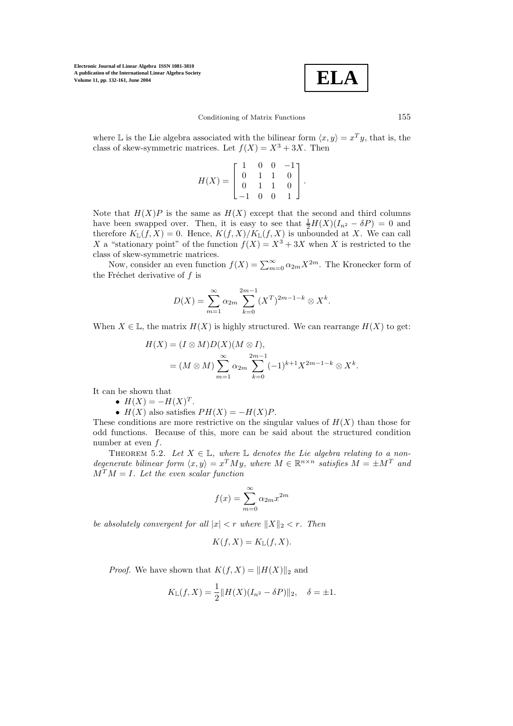$$
\boxed{\textbf{ELA}}
$$

where L is the Lie algebra associated with the bilinear form  $\langle x, y \rangle = x^T y$ , that is, the class of skew-symmetric matrices. Let  $f(X) = X^3 + 3X$ . Then

$$
H(X) = \begin{bmatrix} 1 & 0 & 0 & -1 \\ 0 & 1 & 1 & 0 \\ 0 & 1 & 1 & 0 \\ -1 & 0 & 0 & 1 \end{bmatrix}.
$$

Note that  $H(X)P$  is the same as  $H(X)$  except that the second and third columns have been swapped over. Then, it is easy to see that  $\frac{1}{2}H(X)(I_{n^2}-\delta P)=0$  and therefore  $K_L(f, X) = 0$ . Hence,  $K(f, X)/K_L(f, X)$  is unbounded at X. We can call X a "stationary point" of the function  $f(X) = X^3 + 3X$  when X is restricted to the class of skew-symmetric matrices.

Now, consider an even function  $f(X) = \sum_{m=0}^{\infty} \alpha_{2m} X^{2m}$ . The Kronecker form of the Fréchet derivative of  $f$  is

$$
D(X) = \sum_{m=1}^{\infty} \alpha_{2m} \sum_{k=0}^{2m-1} (X^T)^{2m-1-k} \otimes X^k.
$$

When  $X \in \mathbb{L}$ , the matrix  $H(X)$  is highly structured. We can rearrange  $H(X)$  to get:

$$
H(X) = (I \otimes M)D(X)(M \otimes I),
$$
  
=  $(M \otimes M) \sum_{m=1}^{\infty} \alpha_{2m} \sum_{k=0}^{2m-1} (-1)^{k+1} X^{2m-1-k} \otimes X^{k}.$ 

It can be shown that

- $H(X) = -H(X)^T$ .
- $H(X)$  also satisfies  $PH(X) = -H(X)P$ .

These conditions are more restrictive on the singular values of  $H(X)$  than those for odd functions. Because of this, more can be said about the structured condition number at even f.

THEOREM 5.2. Let  $X \in \mathbb{L}$ , where  $\mathbb L$  denotes the Lie algebra relating to a nondegenerate bilinear form  $\langle x, y \rangle = x^T M y$ , where  $M \in \mathbb{R}^{n \times n}$  satisfies  $M = \pm M^T$  and  $M^T M = I$ . Let the even scalar function

$$
f(x) = \sum_{m=0}^{\infty} \alpha_{2m} x^{2m}
$$

be absolutely convergent for all  $|x| < r$  where  $||X||_2 < r$ . Then

$$
K(f, X) = K_{\mathbb{L}}(f, X).
$$

*Proof.* We have shown that  $K(f, X) = ||H(X)||_2$  and

$$
K_{\mathbb{L}}(f, X) = \frac{1}{2} ||H(X)(I_{n^2} - \delta P)||_2, \quad \delta = \pm 1.
$$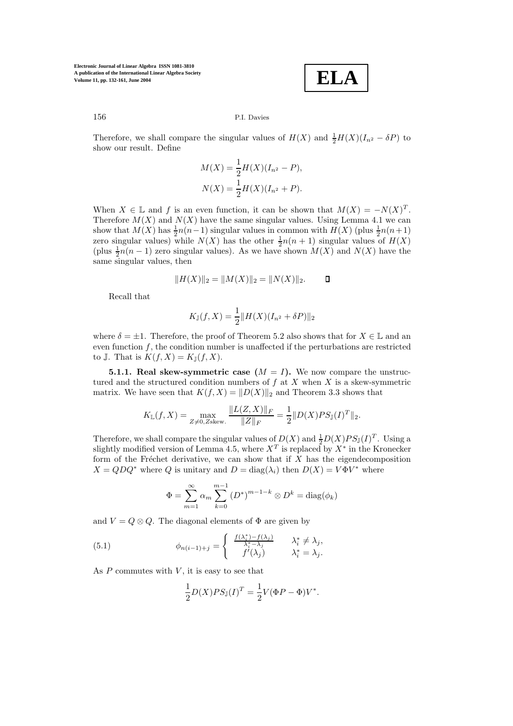**ELA**

### 156 P.I. Davies

Therefore, we shall compare the singular values of  $H(X)$  and  $\frac{1}{2}H(X)(I_{n^2} - \delta P)$  to show our result. Define

$$
M(X) = \frac{1}{2}H(X)(I_{n^2} - P),
$$
  
\n
$$
N(X) = \frac{1}{2}H(X)(I_{n^2} + P).
$$

When  $X \in \mathbb{L}$  and f is an even function, it can be shown that  $M(X) = -N(X)^T$ . Therefore  $M(X)$  and  $N(X)$  have the same singular values. Using Lemma 4.1 we can show that  $M(X)$  has  $\frac{1}{2}n(n-1)$  singular values in common with  $H(X)$  (plus  $\frac{1}{2}n(n+1)$ ) zero singular values) while  $N(X)$  has the other  $\frac{1}{2}n(n + 1)$  singular values of  $H(X)$ (plus  $\frac{1}{2}n(n-1)$  zero singular values). As we have shown  $M(X)$  and  $N(X)$  have the same singular values, then

$$
||H(X)||_2 = ||M(X)||_2 = ||N(X)||_2.
$$

Recall that

$$
K_{\mathbb{J}}(f, X) = \frac{1}{2} ||H(X)(I_{n^2} + \delta P)||_2
$$

where  $\delta = \pm 1$ . Therefore, the proof of Theorem 5.2 also shows that for  $X \in \mathbb{L}$  and an even function  $f$ , the condition number is unaffected if the perturbations are restricted to J. That is  $K(f, X) = K_{\mathbb{J}}(f, X)$ .

**5.1.1. Real skew-symmetric case**  $(M = I)$ **.** We now compare the unstructured and the structured condition numbers of  $f$  at  $X$  when  $X$  is a skew-symmetric matrix. We have seen that  $K(f, X) = ||D(X)||_2$  and Theorem 3.3 shows that

$$
K_{\mathbb{L}}(f, X) = \max_{Z \neq 0, Z \text{skew.}} \frac{\|L(Z, X)\|_F}{\|Z\|_F} = \frac{1}{2} \|D(X)PS_{\mathbb{J}}(I)^T\|_2.
$$

Therefore, we shall compare the singular values of  $D(X)$  and  $\frac{1}{2}D(X)PS_{\mathbb{J}}(I)^{T}$ . Using a slightly modified version of Lemma 4.5, where  $X^T$  is replaced by  $X^*$  in the Kronecker form of the Fréchet derivative, we can show that if  $X$  has the eigendecomposition  $X = QDQ^*$  where Q is unitary and  $D = \text{diag}(\lambda_i)$  then  $D(X) = V\Phi V^*$  where

$$
\Phi = \sum_{m=1}^{\infty} \alpha_m \sum_{k=0}^{m-1} (D^*)^{m-1-k} \otimes D^k = \text{diag}(\phi_k)
$$

and  $V = Q \otimes Q$ . The diagonal elements of  $\Phi$  are given by

(5.1) 
$$
\phi_{n(i-1)+j} = \begin{cases} \frac{f(\lambda_i^*) - f(\lambda_j)}{\lambda_i^* - \lambda_j} & \lambda_i^* \neq \lambda_j, \\ f'(\lambda_j) & \lambda_i^* = \lambda_j. \end{cases}
$$

As  $P$  commutes with  $V$ , it is easy to see that

$$
\frac{1}{2}D(X)PS_{\mathbb{J}}(I)^{T} = \frac{1}{2}V(\Phi P - \Phi)V^{*}.
$$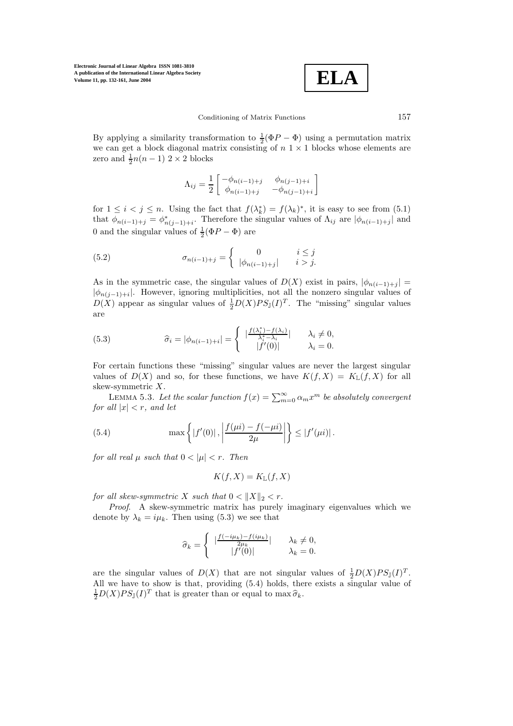$$
\boxed{\textbf{ELA}}
$$

By applying a similarity transformation to  $\frac{1}{2}(\Phi P - \Phi)$  using a permutation matrix we can get a block diagonal matrix consisting of  $n \geq 1$  blocks whose elements are zero and  $\frac{1}{2}n(n-1)$  2 × 2 blocks

$$
\Lambda_{ij} = \frac{1}{2} \begin{bmatrix} -\phi_{n(i-1)+j} & \phi_{n(j-1)+i} \\ \phi_{n(i-1)+j} & -\phi_{n(j-1)+i} \end{bmatrix}
$$

for  $1 \leq i < j \leq n$ . Using the fact that  $f(\lambda_k^*) = f(\lambda_k)^*$ , it is easy to see from (5.1) that  $\phi_{n(i-1)+j} = \phi_{n(j-1)+i}^*$ . Therefore the singular values of  $\Lambda_{ij}$  are  $|\phi_{n(i-1)+j}|$  and 0 and the singular values of  $\frac{1}{2}(\Phi P - \Phi)$  are

(5.2) 
$$
\sigma_{n(i-1)+j} = \begin{cases} 0 & i \leq j \\ |\phi_{n(i-1)+j}| & i > j. \end{cases}
$$

As in the symmetric case, the singular values of  $D(X)$  exist in pairs,  $|\phi_{n(i-1)+j}|$  =  $|\phi_{n(j-1)+i}|$ . However, ignoring multiplicities, not all the nonzero singular values of  $D(X)$  appear as singular values of  $\frac{1}{2}D(X)PS_{\mathbb{J}}(I)^{T}$ . The "missing" singular values are

(5.3) 
$$
\widehat{\sigma}_i = |\phi_{n(i-1)+i}| = \begin{cases} |\frac{f(\lambda_i^*) - f(\lambda_i)}{\lambda_i^* - \lambda_i}| & \lambda_i \neq 0, \\ |f'(0)| & \lambda_i = 0. \end{cases}
$$

For certain functions these "missing" singular values are never the largest singular values of  $D(X)$  and so, for these functions, we have  $K(f, X) = K_{\mathbb{L}}(f, X)$  for all skew-symmetric X.

LEMMA 5.3. Let the scalar function  $f(x) = \sum_{m=0}^{\infty} \alpha_m x^m$  be absolutely convergent for all  $|x| < r$ , and let

(5.4) 
$$
\max \left\{ |f'(0)|, \left| \frac{f(\mu i) - f(-\mu i)}{2\mu} \right| \right\} \leq |f'(\mu i)|.
$$

for all real  $\mu$  such that  $0 < |\mu| < r$ . Then

$$
K(f, X) = K_{\mathbb{L}}(f, X)
$$

for all skew-symmetric X such that  $0 < ||X||_2 < r$ .

Proof. A skew-symmetric matrix has purely imaginary eigenvalues which we denote by  $\lambda_k = i\mu_k$ . Then using (5.3) we see that

$$
\widehat{\sigma}_k = \begin{cases}\n\left| \frac{f(-i\mu_k) - f(i\mu_k)}{2\mu_k} \right| & \lambda_k \neq 0, \\
\left| f'(0) \right| & \lambda_k = 0.\n\end{cases}
$$

are the singular values of  $D(X)$  that are not singular values of  $\frac{1}{2}D(X)PS_{\mathbb{J}}(I)^{T}$ . All we have to show is that, providing  $(5.4)$  holds, there exists a singular value of  $\frac{1}{2}D(X)PS_{\mathbb{J}}(I)^{T}$  that is greater than or equal to  $\max \widehat{\sigma}_{k}$ .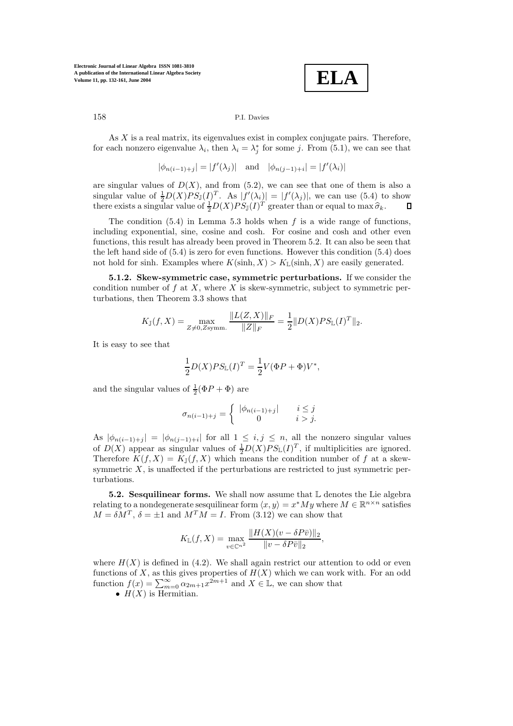**ELA**

#### 158 P.I. Davies

As  $X$  is a real matrix, its eigenvalues exist in complex conjugate pairs. Therefore, for each nonzero eigenvalue  $\lambda_i$ , then  $\lambda_i = \lambda_j^*$  for some j. From (5.1), we can see that

$$
|\phi_{n(i-1)+j}| = |f'(\lambda_j)|
$$
 and  $|\phi_{n(j-1)+i}| = |f'(\lambda_i)|$ 

are singular values of  $D(X)$ , and from (5.2), we can see that one of them is also a singular value of  $\frac{1}{2}D(X)PS_{\mathbb{J}}(I)^{T}$ . As  $|f'(\lambda_i)| = |f'(\lambda_j)|$ , we can use (5.4) to show there exists a singular value of  $\frac{1}{2}D(X)PS_{\mathbb{J}}(I)^{T}$  greater than or equal to  $\max \widehat{\sigma}_k$ . О

The condition  $(5.4)$  in Lemma 5.3 holds when f is a wide range of functions, including exponential, sine, cosine and cosh. For cosine and cosh and other even functions, this result has already been proved in Theorem 5.2. It can also be seen that the left hand side of  $(5.4)$  is zero for even functions. However this condition  $(5.4)$  does not hold for sinh. Examples where  $K(\sinh, X) > K_{\mathbb{L}}(\sinh, X)$  are easily generated.

**5.1.2. Skew-symmetric case, symmetric perturbations.** If we consider the condition number of  $f$  at  $X$ , where  $X$  is skew-symmetric, subject to symmetric perturbations, then Theorem 3.3 shows that

$$
K_{\mathbb{J}}(f, X) = \max_{Z \neq 0, Z \text{symm.}} \frac{\|L(Z, X)\|_F}{\|Z\|_F} = \frac{1}{2} \|D(X)PS_{\mathbb{L}}(I)^T\|_2.
$$

It is easy to see that

$$
\frac{1}{2}D(X)PS_{\mathbb{L}}(I)^{T} = \frac{1}{2}V(\Phi P + \Phi)V^{*},
$$

and the singular values of  $\frac{1}{2}(\Phi P + \Phi)$  are

$$
\sigma_{n(i-1)+j} = \begin{cases} |\phi_{n(i-1)+j}| & i \leq j \\ 0 & i > j. \end{cases}
$$

As  $|\phi_{n(i-1)+j}| = |\phi_{n(j-1)+i}|$  for all  $1 \leq i, j \leq n$ , all the nonzero singular values of  $D(X)$  appear as singular values of  $\frac{1}{2}D(X)PS_{\mathbb{L}}(I)^{T}$ , if multiplicities are ignored. Therefore  $K(f, X) = K_{\mathbb{J}}(f, X)$  which means the condition number of f at a skewsymmetric  $X$ , is unaffected if the perturbations are restricted to just symmetric perturbations.

**5.2. Sesquilinear forms.** We shall now assume that L denotes the Lie algebra relating to a nondegenerate sesquilinear form  $\langle x, y \rangle = x^*My$  where  $M \in \mathbb{R}^{n \times n}$  satisfies  $M = \delta M^T$ ,  $\delta = \pm 1$  and  $M^T M = I$ . From (3.12) we can show that

$$
K_{\mathbb{L}}(f, X) = \max_{v \in \mathbb{C}^{n^2}} \frac{\|H(X)(v - \delta P\bar{v})\|_2}{\|v - \delta P\bar{v}\|_2},
$$

where  $H(X)$  is defined in (4.2). We shall again restrict our attention to odd or even functions of X, as this gives properties of  $H(X)$  which we can work with. For an odd function  $f(x) = \sum_{m=0}^{\infty} \alpha_{2m+1} x^{2m+1}$  and  $X \in \mathbb{L}$ , we can show that

•  $H(X)$  is Hermitian.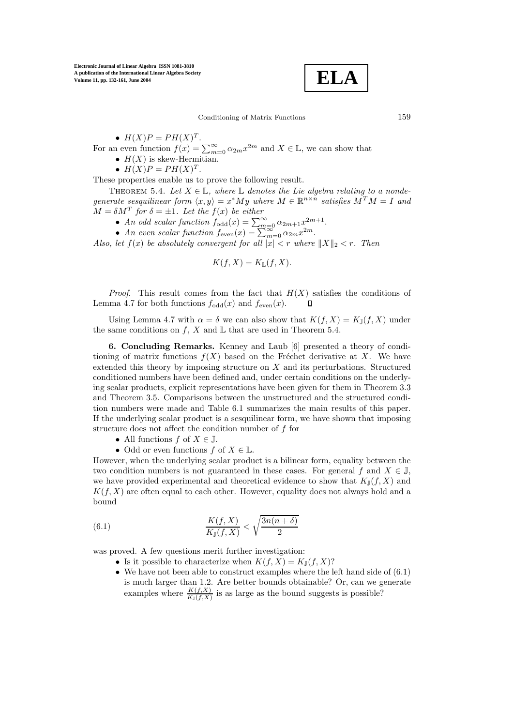

•  $H(X)P = PH(X)^{T}$ .

For an even function  $f(x) = \sum_{m=0}^{\infty} \alpha_{2m} x^{2m}$  and  $X \in \mathbb{L}$ , we can show that

•  $H(X)$  is skew-Hermitian.

•  $H(X)P = PH(X)^{T}$ .

These properties enable us to prove the following result.

THEOREM 5.4. Let  $X \in \mathbb{L}$ , where  $\mathbb L$  denotes the Lie algebra relating to a nondegenerate sesquilinear form  $\langle x, y \rangle = x^*My$  where  $M \in \mathbb{R}^{n \times n}$  satisfies  $M^TM = I$  and  $M = \delta M^T$  for  $\delta = \pm 1$ . Let the  $f(x)$  be either

- An odd scalar function  $f_{\text{odd}}(x) = \sum_{m=0}^{\infty} \alpha_{2m+1} x^{2m+1}$ .
- An even scalar function  $f_{\text{even}}(x) = \sum_{m=0}^{\infty} \alpha_{2m} x^{2m}$ .

Also, let  $f(x)$  be absolutely convergent for all  $|x| < r$  where  $||X||_2 < r$ . Then

$$
K(f, X) = K_{\mathbb{L}}(f, X).
$$

*Proof.* This result comes from the fact that  $H(X)$  satisfies the conditions of Lemma 4.7 for both functions  $f_{odd}(x)$  and  $f_{even}(x)$ . Л

Using Lemma 4.7 with  $\alpha = \delta$  we can also show that  $K(f, X) = K_{\mathbb{J}}(f, X)$  under the same conditions on f, X and  $\mathbb L$  that are used in Theorem 5.4.

**6. Concluding Remarks.** Kenney and Laub [6] presented a theory of conditioning of matrix functions  $f(X)$  based on the Fréchet derivative at X. We have extended this theory by imposing structure on X and its perturbations. Structured conditioned numbers have been defined and, under certain conditions on the underlying scalar products, explicit representations have been given for them in Theorem 3.3 and Theorem 3.5. Comparisons between the unstructured and the structured condition numbers were made and Table 6.1 summarizes the main results of this paper. If the underlying scalar product is a sesquilinear form, we have shown that imposing structure does not affect the condition number of  $f$  for

- All functions  $f$  of  $X \in \mathbb{J}$ .
- Odd or even functions  $f$  of  $X \in \mathbb{L}$ .

However, when the underlying scalar product is a bilinear form, equality between the two condition numbers is not guaranteed in these cases. For general f and  $X \in \mathbb{J}$ , we have provided experimental and theoretical evidence to show that  $K_{\mathbb{I}}(f, X)$  and  $K(f, X)$  are often equal to each other. However, equality does not always hold and a bound

(6.1) 
$$
\frac{K(f, X)}{K_{\mathbb{J}}(f, X)} < \sqrt{\frac{3n(n+\delta)}{2}}
$$

was proved. A few questions merit further investigation:

- Is it possible to characterize when  $K(f, X) = K_{\mathbb{J}}(f, X)$ ?
- We have not been able to construct examples where the left hand side of  $(6.1)$ is much larger than 1.2. Are better bounds obtainable? Or, can we generate examples where  $\frac{K(f,X)}{K_1(f,X)}$  is as large as the bound suggests is possible?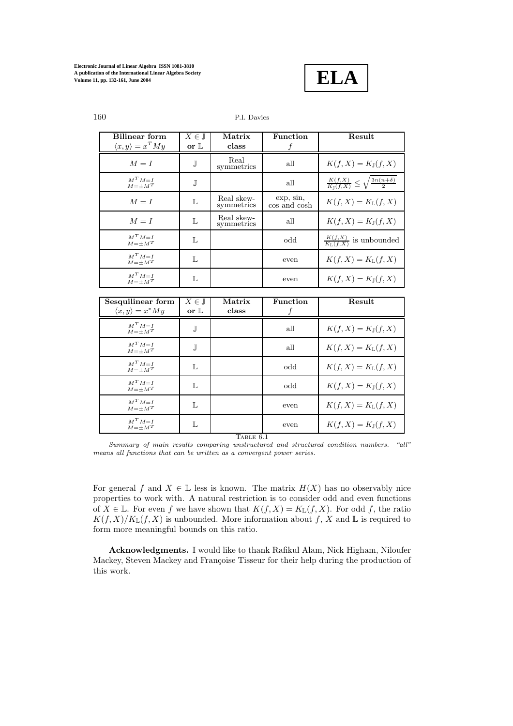

| <b>Bilinear</b> form             | $X\in\mathbb{J}$ | Matrix                   | Function                  | Result                                                                  |
|----------------------------------|------------------|--------------------------|---------------------------|-------------------------------------------------------------------------|
| $\langle x, y \rangle = x^T M y$ | or $\mathbb L$   | class                    |                           |                                                                         |
| $M = I$                          | J                | Real<br>symmetrics       | all                       | $K(f, X) = K_{\mathbb{J}}(f, X)$                                        |
| $M^T M = I$<br>$M = \pm M^T$     | J                |                          | all                       | $\frac{K(f,X)}{K_{\mathbb{T}}(f,X)} \leq \sqrt{\frac{3n(n+\delta)}{2}}$ |
| $M = I$                          | L                | Real skew-<br>symmetrics | exp, sin,<br>cos and cosh | $K(f, X) = K_{\mathbb{L}}(f, X)$                                        |
| $M = I$                          | L                | Real skew-<br>symmetrics | all                       | $K(f, X) = K_1(f, X)$                                                   |
| $M^T M = I$<br>$M = \pm M^T$     | L                |                          | odd                       | $\frac{K(f,X)}{K_1(f,X)}$ is unbounded                                  |
| $M^T M = I$<br>$M = \pm M^T$     | L                |                          | even                      | $K(f, X) = K_{\mathbb{L}}(f, X)$                                        |
| $M^T M = I$<br>$M = \pm M^T$     | L                |                          | even                      | $K(f, X) = K_1(f, X)$                                                   |
|                                  |                  |                          |                           |                                                                         |
| Sesquilinear form                | $X\in\mathbb{J}$ | Matrix                   | Function                  | Result                                                                  |
| $\langle x, y \rangle = x^*My$   | or $\mathbb L$   | class                    |                           |                                                                         |
| $M^T M = I$<br>$M = \pm M^T$     | J                |                          | all                       | $K(f, X) = K_1(f, X)$                                                   |
| $M^T M = I$<br>$M = +M^T$        | J                |                          | all                       | $K(f, X) = K_{\mathbb{L}}(f, X)$                                        |
| $M^T M = I$<br>$M = \pm M^T$     | L                |                          | odd                       | $K(f, X) = K_{\mathbb{L}}(f, X)$                                        |
| $M^T M = I$<br>$M = \pm M^T$     | L                |                          | odd                       | $K(f, X) = K_1(f, X)$                                                   |
| $M^T M = I$<br>$M = \pm M^T$     | L                |                          | even                      | $K(f, X) = K_{\mathbb{L}}(f, X)$                                        |
| $M^T M = I$<br>$M = \pm M^T$     | L                |                          | even                      | $K(f, X) = K_{\mathbb{J}}(f, X)$                                        |

Summary of main results comparing unstructured and structured condition numbers. "all" means all functions that can be written as a convergent power series.

For general f and  $X \in \mathbb{L}$  less is known. The matrix  $H(X)$  has no observably nice properties to work with. A natural restriction is to consider odd and even functions of  $X \in \mathbb{L}$ . For even f we have shown that  $K(f, X) = K_{\mathbb{L}}(f, X)$ . For odd f, the ratio  $K(f, X)/K_{\mathbb{L}}(f, X)$  is unbounded. More information about f, X and L is required to form more meaningful bounds on this ratio.

**Acknowledgments.** I would like to thank Rafikul Alam, Nick Higham, Niloufer Mackey, Steven Mackey and Françoise Tisseur for their help during the production of this work.

# 160 P.I. Davies